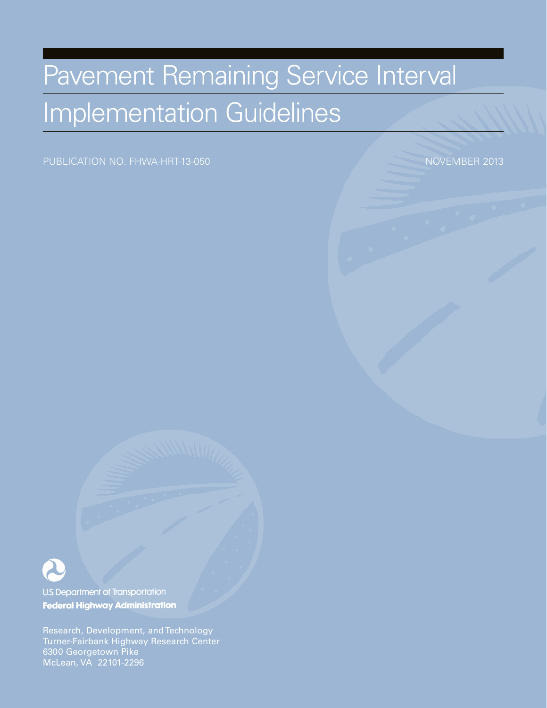# Pavement Remaining Service Interval Implementation Guidelines

PUBLICATION NO. FHWA-HRT-13-050 november 2013



U.S. Department of Transportation **Federal Highway Administration** 

Research, Development, and Technology Turner-Fairbank Highway Research Center 6300 Georgetown Pike McLean, VA 22101-2296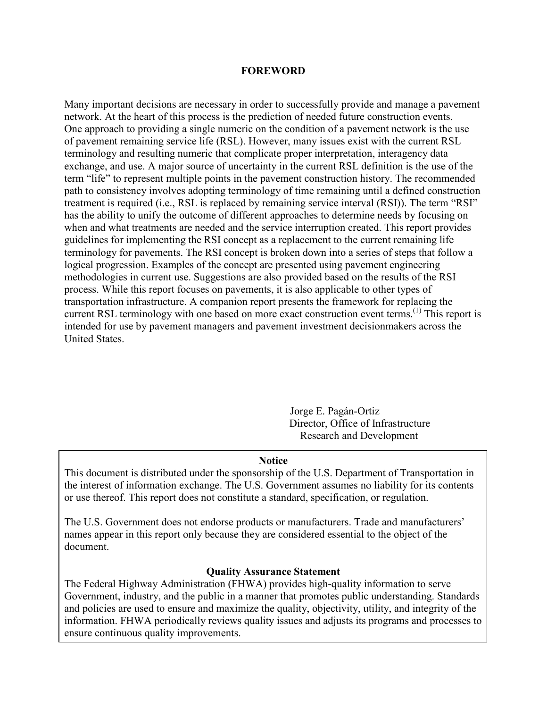#### **FOREWORD**

Many important decisions are necessary in order to successfully provide and manage a pavement network. At the heart of this process is the prediction of needed future construction events. One approach to providing a single numeric on the condition of a pavement network is the use of pavement remaining service life (RSL). However, many issues exist with the current RSL terminology and resulting numeric that complicate proper interpretation, interagency data exchange, and use. A major source of uncertainty in the current RSL definition is the use of the term "life" to represent multiple points in the pavement construction history. The recommended path to consistency involves adopting terminology of time remaining until a defined construction treatment is required (i.e., RSL is replaced by remaining service interval (RSI)). The term "RSI" has the ability to unify the outcome of different approaches to determine needs by focusing on when and what treatments are needed and the service interruption created. This report provides guidelines for implementing the RSI concept as a replacement to the current remaining life terminology for pavements. The RSI concept is broken down into a series of steps that follow a logical progression. Examples of the concept are presented using pavement engineering methodologies in current use. Suggestions are also provided based on the results of the RSI process. While this report focuses on pavements, it is also applicable to other types of transportation infrastructure. A companion report presents the framework for replacing the current RSL terminology with one based on more exact construction event terms.<sup>(1)</sup> This report is intended for use by pavement managers and pavement investment decisionmakers across the United States.

> Jorge E. Pagán-Ortiz Director, Office of Infrastructure Research and Development

#### **Notice**

This document is distributed under the sponsorship of the U.S. Department of Transportation in the interest of information exchange. The U.S. Government assumes no liability for its contents or use thereof. This report does not constitute a standard, specification, or regulation.

The U.S. Government does not endorse products or manufacturers. Trade and manufacturers' names appear in this report only because they are considered essential to the object of the document.

#### **Quality Assurance Statement**

The Federal Highway Administration (FHWA) provides high-quality information to serve Government, industry, and the public in a manner that promotes public understanding. Standards and policies are used to ensure and maximize the quality, objectivity, utility, and integrity of the information. FHWA periodically reviews quality issues and adjusts its programs and processes to ensure continuous quality improvements.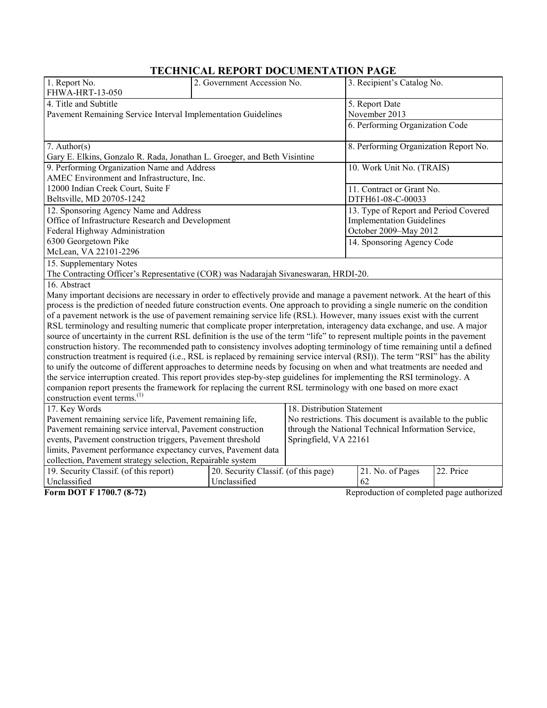# **TECHNICAL REPORT DOCUMENTATION PAGE**

| 1. Report No.<br>FHWA-HRT-13-050                                                                                               | 2. Government Accession No.                               |                            | 3. Recipient's Catalog No.                |           |  |
|--------------------------------------------------------------------------------------------------------------------------------|-----------------------------------------------------------|----------------------------|-------------------------------------------|-----------|--|
| 4. Title and Subtitle                                                                                                          |                                                           |                            | 5. Report Date                            |           |  |
| Pavement Remaining Service Interval Implementation Guidelines                                                                  |                                                           | November 2013              |                                           |           |  |
|                                                                                                                                |                                                           |                            | 6. Performing Organization Code           |           |  |
|                                                                                                                                |                                                           |                            |                                           |           |  |
| 7. Author( $s$ )                                                                                                               |                                                           |                            | 8. Performing Organization Report No.     |           |  |
| Gary E. Elkins, Gonzalo R. Rada, Jonathan L. Groeger, and Beth Visintine                                                       |                                                           |                            |                                           |           |  |
| 9. Performing Organization Name and Address                                                                                    |                                                           |                            | 10. Work Unit No. (TRAIS)                 |           |  |
| AMEC Environment and Infrastructure, Inc.                                                                                      |                                                           |                            |                                           |           |  |
| 12000 Indian Creek Court, Suite F                                                                                              |                                                           |                            | 11. Contract or Grant No.                 |           |  |
| Beltsville, MD 20705-1242                                                                                                      |                                                           |                            | DTFH61-08-C-00033                         |           |  |
| 12. Sponsoring Agency Name and Address                                                                                         |                                                           |                            | 13. Type of Report and Period Covered     |           |  |
| Office of Infrastructure Research and Development                                                                              |                                                           |                            | <b>Implementation Guidelines</b>          |           |  |
| Federal Highway Administration                                                                                                 |                                                           |                            | October 2009-May 2012                     |           |  |
| 6300 Georgetown Pike                                                                                                           |                                                           |                            | 14. Sponsoring Agency Code                |           |  |
| McLean, VA 22101-2296                                                                                                          |                                                           |                            |                                           |           |  |
| 15. Supplementary Notes                                                                                                        |                                                           |                            |                                           |           |  |
| The Contracting Officer's Representative (COR) was Nadarajah Sivaneswaran, HRDI-20.                                            |                                                           |                            |                                           |           |  |
| 16. Abstract                                                                                                                   |                                                           |                            |                                           |           |  |
| Many important decisions are necessary in order to effectively provide and manage a pavement network. At the heart of this     |                                                           |                            |                                           |           |  |
| process is the prediction of needed future construction events. One approach to providing a single numeric on the condition    |                                                           |                            |                                           |           |  |
| of a pavement network is the use of pavement remaining service life (RSL). However, many issues exist with the current         |                                                           |                            |                                           |           |  |
| RSL terminology and resulting numeric that complicate proper interpretation, interagency data exchange, and use. A major       |                                                           |                            |                                           |           |  |
| source of uncertainty in the current RSL definition is the use of the term "life" to represent multiple points in the pavement |                                                           |                            |                                           |           |  |
| construction history. The recommended path to consistency involves adopting terminology of time remaining until a defined      |                                                           |                            |                                           |           |  |
| construction treatment is required (i.e., RSL is replaced by remaining service interval (RSI)). The term "RSI" has the ability |                                                           |                            |                                           |           |  |
| to unify the outcome of different approaches to determine needs by focusing on when and what treatments are needed and         |                                                           |                            |                                           |           |  |
| the service interruption created. This report provides step-by-step guidelines for implementing the RSI terminology. A         |                                                           |                            |                                           |           |  |
| companion report presents the framework for replacing the current RSL terminology with one based on more exact                 |                                                           |                            |                                           |           |  |
| construction event terms. <sup>(1)</sup>                                                                                       |                                                           |                            |                                           |           |  |
| 17. Key Words                                                                                                                  |                                                           | 18. Distribution Statement |                                           |           |  |
| Pavement remaining service life, Pavement remaining life,                                                                      | No restrictions. This document is available to the public |                            |                                           |           |  |
| Pavement remaining service interval, Pavement construction                                                                     | through the National Technical Information Service,       |                            |                                           |           |  |
| events, Pavement construction triggers, Pavement threshold                                                                     |                                                           | Springfield, VA 22161      |                                           |           |  |
| limits, Pavement performance expectancy curves, Pavement data                                                                  |                                                           |                            |                                           |           |  |
| collection, Pavement strategy selection, Repairable system                                                                     |                                                           |                            |                                           |           |  |
| 19. Security Classif. (of this report)                                                                                         | 20. Security Classif. (of this page)                      |                            | 21. No. of Pages                          | 22. Price |  |
| Unclassified                                                                                                                   | Unclassified                                              |                            | 62                                        |           |  |
| Form DOT F 1700.7 (8-72)                                                                                                       |                                                           |                            | Reproduction of completed page authorized |           |  |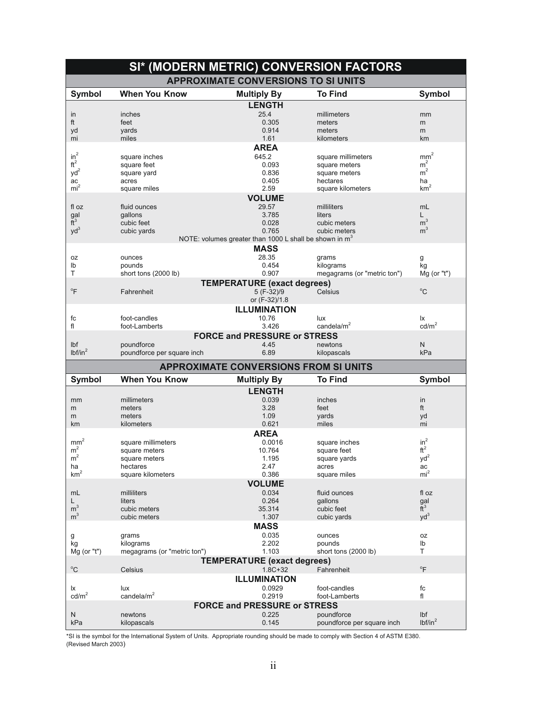| SI* (MODERN METRIC) CONVERSION FACTORS |                                            |                                                                    |                                     |                                         |  |  |  |
|----------------------------------------|--------------------------------------------|--------------------------------------------------------------------|-------------------------------------|-----------------------------------------|--|--|--|
|                                        | <b>APPROXIMATE CONVERSIONS TO SI UNITS</b> |                                                                    |                                     |                                         |  |  |  |
| <b>Symbol</b>                          | <b>When You Know</b>                       | <b>Multiply By</b>                                                 | <b>To Find</b>                      | <b>Symbol</b>                           |  |  |  |
|                                        |                                            | <b>LENGTH</b>                                                      |                                     |                                         |  |  |  |
| in                                     | inches                                     | 25.4                                                               | millimeters                         | mm                                      |  |  |  |
| ft                                     | feet                                       | 0.305                                                              | meters                              | m                                       |  |  |  |
| yd                                     | yards                                      | 0.914                                                              | meters                              | m                                       |  |  |  |
| mi                                     | miles                                      | 1.61                                                               | kilometers                          | km                                      |  |  |  |
| $in^2$                                 |                                            | <b>AREA</b>                                                        |                                     | mm <sup>2</sup>                         |  |  |  |
| $ft^2$                                 | square inches<br>square feet               | 645.2<br>0.093                                                     | square millimeters<br>square meters | m <sup>2</sup>                          |  |  |  |
| yd <sup>2</sup>                        | square yard                                | 0.836                                                              | square meters                       | m <sup>2</sup>                          |  |  |  |
| ac                                     | acres                                      | 0.405                                                              | hectares                            | ha                                      |  |  |  |
| mi <sup>2</sup>                        | square miles                               | 2.59                                                               | square kilometers                   | km <sup>2</sup>                         |  |  |  |
|                                        |                                            | <b>VOLUME</b>                                                      |                                     |                                         |  |  |  |
| fl oz                                  | fluid ounces                               | 29.57                                                              | milliliters                         | mL                                      |  |  |  |
| gal                                    | qallons                                    | 3.785                                                              | liters                              | L                                       |  |  |  |
| $\tilde{t}^3$                          | cubic feet                                 | 0.028                                                              | cubic meters                        | m <sup>3</sup>                          |  |  |  |
| $yd^3$                                 | cubic yards                                | 0.765                                                              | cubic meters                        | m <sup>3</sup>                          |  |  |  |
|                                        |                                            | NOTE: volumes greater than 1000 L shall be shown in m <sup>3</sup> |                                     |                                         |  |  |  |
|                                        |                                            | <b>MASS</b>                                                        |                                     |                                         |  |  |  |
| 0Z                                     | ounces                                     | 28.35                                                              | grams                               | g                                       |  |  |  |
| lb<br>T                                | pounds                                     | 0.454<br>0.907                                                     | kilograms                           | kg<br>Mg (or "t")                       |  |  |  |
|                                        | short tons (2000 lb)                       |                                                                    | megagrams (or "metric ton")         |                                         |  |  |  |
| $\mathrm{P}$                           | Fahrenheit                                 | <b>TEMPERATURE (exact degrees)</b><br>5 (F-32)/9                   | Celsius                             | $^{\circ}$ C                            |  |  |  |
|                                        |                                            | or (F-32)/1.8                                                      |                                     |                                         |  |  |  |
|                                        |                                            | <b>ILLUMINATION</b>                                                |                                     |                                         |  |  |  |
| fc                                     | foot-candles                               | 10.76                                                              | lux                                 | lx                                      |  |  |  |
| fl                                     | foot-Lamberts                              | 3.426                                                              | candela/ $m2$                       | cd/m <sup>2</sup>                       |  |  |  |
|                                        |                                            | <b>FORCE and PRESSURE or STRESS</b>                                |                                     |                                         |  |  |  |
| Ibf                                    | poundforce                                 | 4.45                                                               | newtons                             | N                                       |  |  |  |
| lbf/in <sup>2</sup>                    | poundforce per square inch                 | 6.89                                                               | kilopascals                         | kPa                                     |  |  |  |
|                                        |                                            |                                                                    |                                     |                                         |  |  |  |
|                                        |                                            |                                                                    |                                     |                                         |  |  |  |
|                                        |                                            | <b>APPROXIMATE CONVERSIONS FROM SI UNITS</b>                       |                                     |                                         |  |  |  |
| <b>Symbol</b>                          | <b>When You Know</b>                       | <b>Multiply By</b>                                                 | <b>To Find</b>                      | Symbol                                  |  |  |  |
|                                        |                                            | <b>LENGTH</b>                                                      |                                     |                                         |  |  |  |
| mm                                     | millimeters                                | 0.039                                                              | inches                              | in                                      |  |  |  |
| m                                      | meters                                     | 3.28                                                               | feet                                | ft                                      |  |  |  |
| m<br>km                                | meters<br>kilometers                       | 1.09<br>0.621                                                      | yards<br>miles                      | yd<br>mi                                |  |  |  |
|                                        |                                            |                                                                    |                                     |                                         |  |  |  |
|                                        | square millimeters                         | <b>AREA</b><br>0.0016                                              |                                     |                                         |  |  |  |
| mm <sup>2</sup><br>m <sup>2</sup>      | square meters                              | 10.764                                                             | square inches<br>square feet        | $in^2$<br>$\mathrm{ft}^2$               |  |  |  |
| m <sup>2</sup>                         | square meters                              | 1.195                                                              | square yards                        | $yd^2$                                  |  |  |  |
| ha                                     | hectares                                   | 2.47                                                               | acres                               | ac                                      |  |  |  |
| km <sup>2</sup>                        | square kilometers                          | 0.386                                                              | square miles                        | mi <sup>2</sup>                         |  |  |  |
|                                        |                                            | <b>VOLUME</b>                                                      |                                     |                                         |  |  |  |
| mL                                     | milliliters                                | 0.034                                                              | fluid ounces                        | fl oz                                   |  |  |  |
| L                                      | liters                                     | 0.264                                                              | gallons                             |                                         |  |  |  |
| m <sup>3</sup>                         | cubic meters                               | 35.314                                                             | cubic feet                          | $\frac{gal}{ft^3}$                      |  |  |  |
| m <sup>3</sup>                         | cubic meters                               | 1.307                                                              | cubic yards                         | $yd^3$                                  |  |  |  |
|                                        |                                            | <b>MASS</b>                                                        |                                     |                                         |  |  |  |
| g                                      | grams                                      | 0.035                                                              | ounces                              | 0Z                                      |  |  |  |
| kg                                     | kilograms<br>megagrams (or "metric ton")   | 2.202<br>1.103                                                     | pounds<br>short tons (2000 lb)      | Ib<br>T                                 |  |  |  |
| Mg (or "t")                            |                                            |                                                                    |                                     |                                         |  |  |  |
| $^{\circ}C$                            | Celsius                                    | <b>TEMPERATURE (exact degrees)</b><br>$1.8C + 32$                  | Fahrenheit                          | $\mathrm{P}$                            |  |  |  |
|                                        |                                            | <b>ILLUMINATION</b>                                                |                                     |                                         |  |  |  |
| lχ                                     | lux                                        | 0.0929                                                             | foot-candles                        | fc                                      |  |  |  |
| cd/m <sup>2</sup>                      | candela/ $m2$                              | 0.2919                                                             | foot-Lamberts                       | fl                                      |  |  |  |
|                                        |                                            | <b>FORCE and PRESSURE or STRESS</b>                                |                                     |                                         |  |  |  |
| N                                      | newtons                                    | 0.225                                                              | poundforce                          | I <sub>b</sub> f<br>lbf/in <sup>2</sup> |  |  |  |

\*SI is the symbol for the International System of Units. Appropriate rounding should be made to comply with Section 4 of ASTM E380. (Revised March 2003)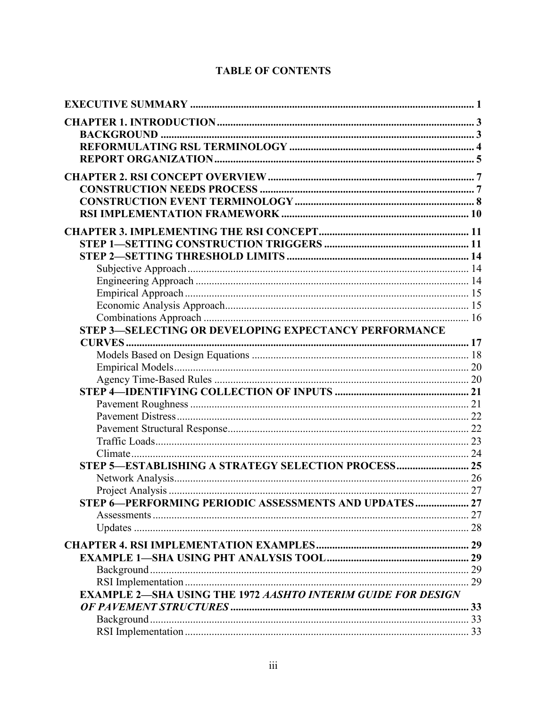| STEP 3-SELECTING OR DEVELOPING EXPECTANCY PERFORMANCE               |    |
|---------------------------------------------------------------------|----|
|                                                                     |    |
|                                                                     |    |
|                                                                     |    |
|                                                                     |    |
|                                                                     |    |
|                                                                     |    |
|                                                                     |    |
|                                                                     |    |
|                                                                     |    |
| STEP 5-ESTABLISHING A STRATEGY SELECTION PROCESS 25                 |    |
|                                                                     |    |
|                                                                     |    |
| STEP 6-PERFORMING PERIODIC ASSESSMENTS AND UPDATES 27               |    |
|                                                                     |    |
|                                                                     |    |
|                                                                     |    |
|                                                                     |    |
|                                                                     |    |
|                                                                     | 29 |
| <b>EXAMPLE 2-SHA USING THE 1972 AASHTO INTERIM GUIDE FOR DESIGN</b> |    |
|                                                                     |    |
|                                                                     |    |
|                                                                     |    |
|                                                                     |    |

# **TABLE OF CONTENTS**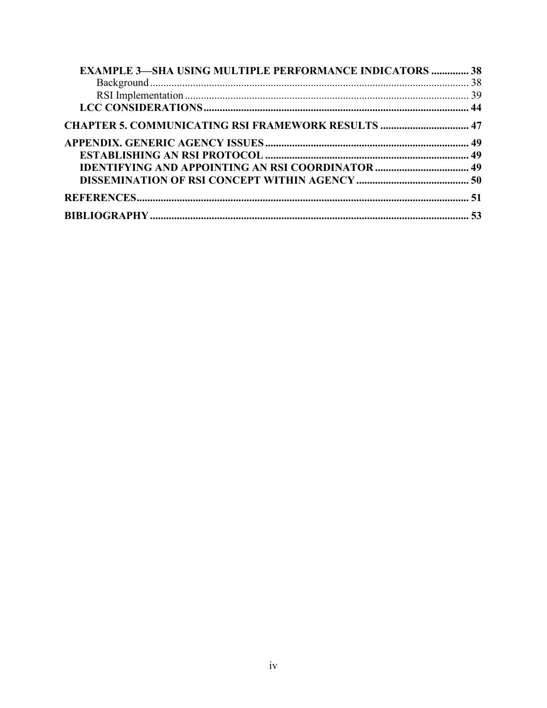| <b>CHAPTER 5. COMMUNICATING RSI FRAMEWORK RESULTS  47</b> |
|-----------------------------------------------------------|
|                                                           |
|                                                           |
|                                                           |
|                                                           |
|                                                           |
|                                                           |
|                                                           |
|                                                           |
|                                                           |
|                                                           |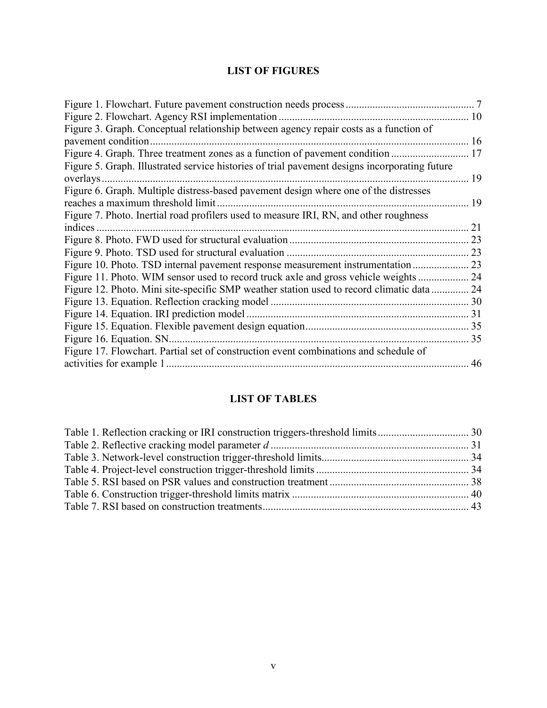# **LIST OF FIGURES**

|                                                                                               | 10 |
|-----------------------------------------------------------------------------------------------|----|
| Figure 3. Graph. Conceptual relationship between agency repair costs as a function of         |    |
|                                                                                               | 16 |
| Figure 4. Graph. Three treatment zones as a function of pavement condition                    | 17 |
| Figure 5. Graph. Illustrated service histories of trial pavement designs incorporating future |    |
| overlays.                                                                                     | 19 |
| Figure 6. Graph. Multiple distress-based pavement design where one of the distresses          |    |
| reaches a maximum threshold limit                                                             | 19 |
| Figure 7. Photo. Inertial road profilers used to measure IRI, RN, and other roughness         |    |
| indices.                                                                                      | 21 |
|                                                                                               | 23 |
|                                                                                               | 23 |
|                                                                                               |    |
| Figure 11. Photo. WIM sensor used to record truck axle and gross vehicle weights              | 24 |
| Figure 12. Photo. Mini site-specific SMP weather station used to record climatic data         | 24 |
|                                                                                               |    |
| Figure 14. Equation. IRI prediction model                                                     |    |
|                                                                                               |    |
| Figure 16. Equation. SN                                                                       | 35 |
| Figure 17. Flowchart. Partial set of construction event combinations and schedule of          |    |
|                                                                                               | 46 |
|                                                                                               |    |

# **LIST OF TABLES**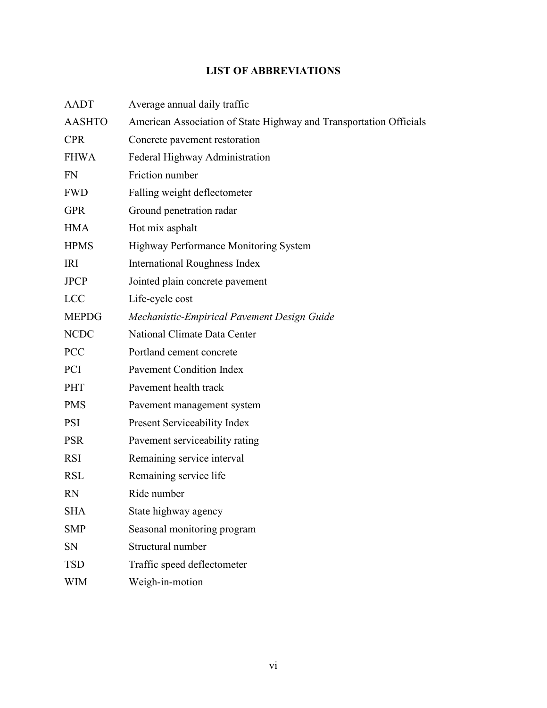# **LIST OF ABBREVIATIONS**

| <b>AADT</b>   | Average annual daily traffic                                       |
|---------------|--------------------------------------------------------------------|
| <b>AASHTO</b> | American Association of State Highway and Transportation Officials |
| <b>CPR</b>    | Concrete pavement restoration                                      |
| <b>FHWA</b>   | Federal Highway Administration                                     |
| <b>FN</b>     | Friction number                                                    |
| <b>FWD</b>    | Falling weight deflectometer                                       |
| <b>GPR</b>    | Ground penetration radar                                           |
| <b>HMA</b>    | Hot mix asphalt                                                    |
| <b>HPMS</b>   | Highway Performance Monitoring System                              |
| <b>IRI</b>    | <b>International Roughness Index</b>                               |
| <b>JPCP</b>   | Jointed plain concrete pavement                                    |
| <b>LCC</b>    | Life-cycle cost                                                    |
| <b>MEPDG</b>  | Mechanistic-Empirical Pavement Design Guide                        |
| <b>NCDC</b>   | National Climate Data Center                                       |
| <b>PCC</b>    | Portland cement concrete                                           |
| <b>PCI</b>    | Pavement Condition Index                                           |
| PHT           | Pavement health track                                              |
| <b>PMS</b>    | Pavement management system                                         |
| <b>PSI</b>    | Present Serviceability Index                                       |
| <b>PSR</b>    | Pavement serviceability rating                                     |
| <b>RSI</b>    | Remaining service interval                                         |
| <b>RSL</b>    | Remaining service life                                             |
| <b>RN</b>     | Ride number                                                        |
| <b>SHA</b>    | State highway agency                                               |
| <b>SMP</b>    | Seasonal monitoring program                                        |
| SN            | Structural number                                                  |
| <b>TSD</b>    | Traffic speed deflectometer                                        |
| WIM           | Weigh-in-motion                                                    |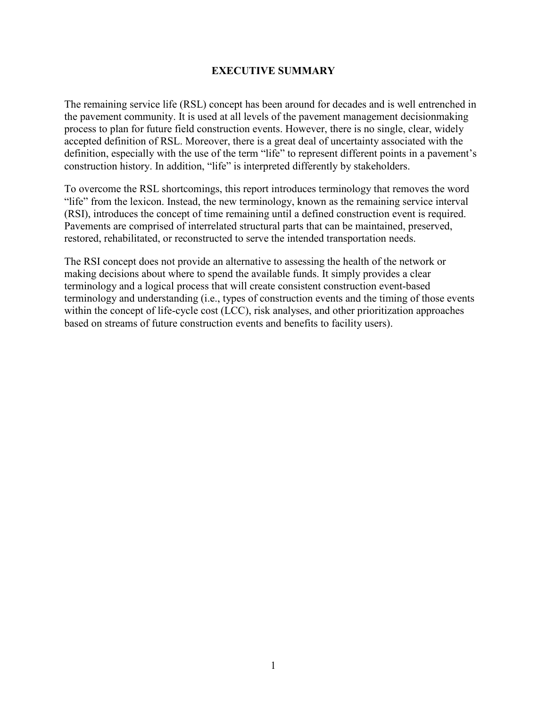#### **EXECUTIVE SUMMARY**

<span id="page-8-0"></span>The remaining service life (RSL) concept has been around for decades and is well entrenched in the pavement community. It is used at all levels of the pavement management decisionmaking process to plan for future field construction events. However, there is no single, clear, widely accepted definition of RSL. Moreover, there is a great deal of uncertainty associated with the definition, especially with the use of the term "life" to represent different points in a pavement's construction history. In addition, "life" is interpreted differently by stakeholders.

To overcome the RSL shortcomings, this report introduces terminology that removes the word "life" from the lexicon. Instead, the new terminology, known as the remaining service interval (RSI), introduces the concept of time remaining until a defined construction event is required. Pavements are comprised of interrelated structural parts that can be maintained, preserved, restored, rehabilitated, or reconstructed to serve the intended transportation needs.

The RSI concept does not provide an alternative to assessing the health of the network or making decisions about where to spend the available funds. It simply provides a clear terminology and a logical process that will create consistent construction event-based terminology and understanding (i.e., types of construction events and the timing of those events within the concept of life-cycle cost (LCC), risk analyses, and other prioritization approaches based on streams of future construction events and benefits to facility users).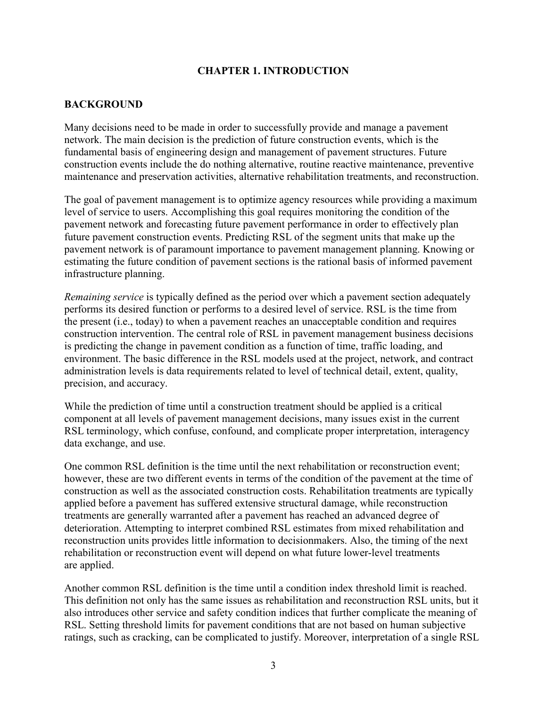#### **CHAPTER 1. INTRODUCTION**

#### <span id="page-10-1"></span><span id="page-10-0"></span>**BACKGROUND**

Many decisions need to be made in order to successfully provide and manage a pavement network. The main decision is the prediction of future construction events, which is the fundamental basis of engineering design and management of pavement structures. Future construction events include the do nothing alternative, routine reactive maintenance, preventive maintenance and preservation activities, alternative rehabilitation treatments, and reconstruction.

The goal of pavement management is to optimize agency resources while providing a maximum level of service to users. Accomplishing this goal requires monitoring the condition of the pavement network and forecasting future pavement performance in order to effectively plan future pavement construction events. Predicting RSL of the segment units that make up the pavement network is of paramount importance to pavement management planning. Knowing or estimating the future condition of pavement sections is the rational basis of informed pavement infrastructure planning.

*Remaining service* is typically defined as the period over which a pavement section adequately performs its desired function or performs to a desired level of service. RSL is the time from the present (i.e., today) to when a pavement reaches an unacceptable condition and requires construction intervention. The central role of RSL in pavement management business decisions is predicting the change in pavement condition as a function of time, traffic loading, and environment. The basic difference in the RSL models used at the project, network, and contract administration levels is data requirements related to level of technical detail, extent, quality, precision, and accuracy.

While the prediction of time until a construction treatment should be applied is a critical component at all levels of pavement management decisions, many issues exist in the current RSL terminology, which confuse, confound, and complicate proper interpretation, interagency data exchange, and use.

One common RSL definition is the time until the next rehabilitation or reconstruction event; however, these are two different events in terms of the condition of the pavement at the time of construction as well as the associated construction costs. Rehabilitation treatments are typically applied before a pavement has suffered extensive structural damage, while reconstruction treatments are generally warranted after a pavement has reached an advanced degree of deterioration. Attempting to interpret combined RSL estimates from mixed rehabilitation and reconstruction units provides little information to decisionmakers. Also, the timing of the next rehabilitation or reconstruction event will depend on what future lower-level treatments are applied.

Another common RSL definition is the time until a condition index threshold limit is reached. This definition not only has the same issues as rehabilitation and reconstruction RSL units, but it also introduces other service and safety condition indices that further complicate the meaning of RSL. Setting threshold limits for pavement conditions that are not based on human subjective ratings, such as cracking, can be complicated to justify. Moreover, interpretation of a single RSL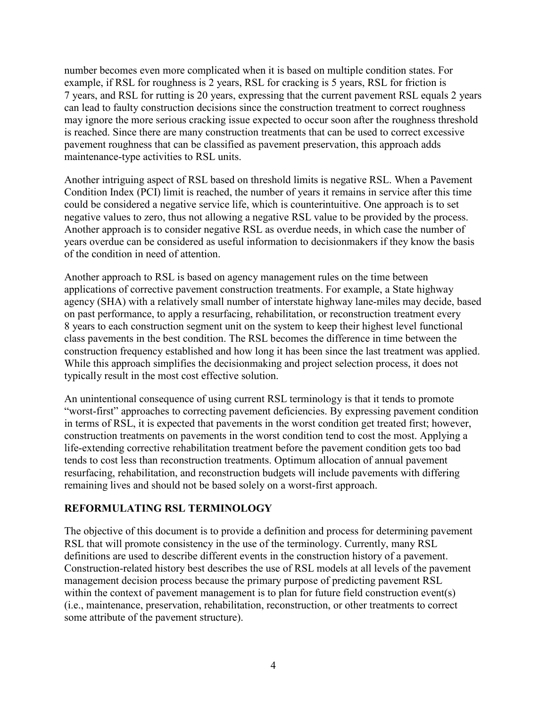number becomes even more complicated when it is based on multiple condition states. For example, if RSL for roughness is 2 years, RSL for cracking is 5 years, RSL for friction is 7 years, and RSL for rutting is 20 years, expressing that the current pavement RSL equals 2 years can lead to faulty construction decisions since the construction treatment to correct roughness may ignore the more serious cracking issue expected to occur soon after the roughness threshold is reached. Since there are many construction treatments that can be used to correct excessive pavement roughness that can be classified as pavement preservation, this approach adds maintenance-type activities to RSL units.

Another intriguing aspect of RSL based on threshold limits is negative RSL. When a Pavement Condition Index (PCI) limit is reached, the number of years it remains in service after this time could be considered a negative service life, which is counterintuitive. One approach is to set negative values to zero, thus not allowing a negative RSL value to be provided by the process. Another approach is to consider negative RSL as overdue needs, in which case the number of years overdue can be considered as useful information to decisionmakers if they know the basis of the condition in need of attention.

Another approach to RSL is based on agency management rules on the time between applications of corrective pavement construction treatments. For example, a State highway agency (SHA) with a relatively small number of interstate highway lane-miles may decide, based on past performance, to apply a resurfacing, rehabilitation, or reconstruction treatment every 8 years to each construction segment unit on the system to keep their highest level functional class pavements in the best condition. The RSL becomes the difference in time between the construction frequency established and how long it has been since the last treatment was applied. While this approach simplifies the decisionmaking and project selection process, it does not typically result in the most cost effective solution.

An unintentional consequence of using current RSL terminology is that it tends to promote "worst-first" approaches to correcting pavement deficiencies. By expressing pavement condition in terms of RSL, it is expected that pavements in the worst condition get treated first; however, construction treatments on pavements in the worst condition tend to cost the most. Applying a life-extending corrective rehabilitation treatment before the pavement condition gets too bad tends to cost less than reconstruction treatments. Optimum allocation of annual pavement resurfacing, rehabilitation, and reconstruction budgets will include pavements with differing remaining lives and should not be based solely on a worst-first approach.

#### <span id="page-11-0"></span>**REFORMULATING RSL TERMINOLOGY**

The objective of this document is to provide a definition and process for determining pavement RSL that will promote consistency in the use of the terminology. Currently, many RSL definitions are used to describe different events in the construction history of a pavement. Construction-related history best describes the use of RSL models at all levels of the pavement management decision process because the primary purpose of predicting pavement RSL within the context of pavement management is to plan for future field construction events) (i.e., maintenance, preservation, rehabilitation, reconstruction, or other treatments to correct some attribute of the pavement structure).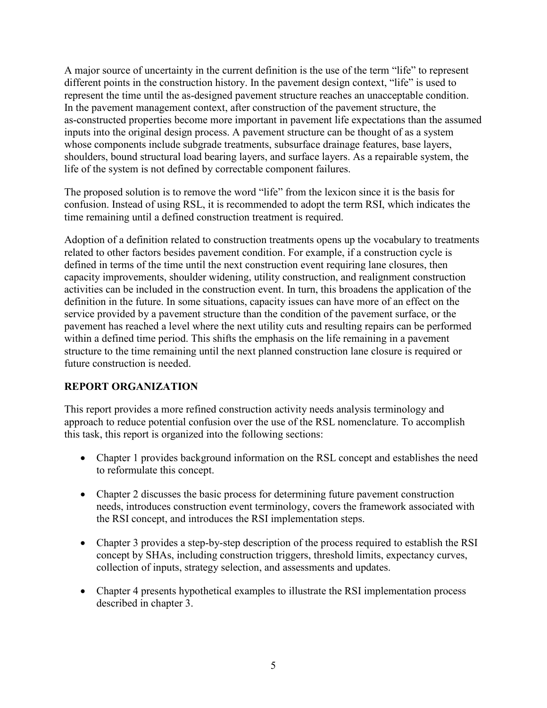A major source of uncertainty in the current definition is the use of the term "life" to represent different points in the construction history. In the pavement design context, "life" is used to represent the time until the as-designed pavement structure reaches an unacceptable condition. In the pavement management context, after construction of the pavement structure, the as-constructed properties become more important in pavement life expectations than the assumed inputs into the original design process. A pavement structure can be thought of as a system whose components include subgrade treatments, subsurface drainage features, base layers, shoulders, bound structural load bearing layers, and surface layers. As a repairable system, the life of the system is not defined by correctable component failures.

The proposed solution is to remove the word "life" from the lexicon since it is the basis for confusion. Instead of using RSL, it is recommended to adopt the term RSI, which indicates the time remaining until a defined construction treatment is required.

Adoption of a definition related to construction treatments opens up the vocabulary to treatments related to other factors besides pavement condition. For example, if a construction cycle is defined in terms of the time until the next construction event requiring lane closures, then capacity improvements, shoulder widening, utility construction, and realignment construction activities can be included in the construction event. In turn, this broadens the application of the definition in the future. In some situations, capacity issues can have more of an effect on the service provided by a pavement structure than the condition of the pavement surface, or the pavement has reached a level where the next utility cuts and resulting repairs can be performed within a defined time period. This shifts the emphasis on the life remaining in a pavement structure to the time remaining until the next planned construction lane closure is required or future construction is needed.

# <span id="page-12-0"></span>**REPORT ORGANIZATION**

This report provides a more refined construction activity needs analysis terminology and approach to reduce potential confusion over the use of the RSL nomenclature. To accomplish this task, this report is organized into the following sections:

- Chapter 1 provides background information on the RSL concept and establishes the need to reformulate this concept.
- Chapter 2 discusses the basic process for determining future pavement construction needs, introduces construction event terminology, covers the framework associated with the RSI concept, and introduces the RSI implementation steps.
- Chapter 3 provides a step-by-step description of the process required to establish the RSI concept by SHAs, including construction triggers, threshold limits, expectancy curves, collection of inputs, strategy selection, and assessments and updates.
- Chapter 4 presents hypothetical examples to illustrate the RSI implementation process described in chapter 3.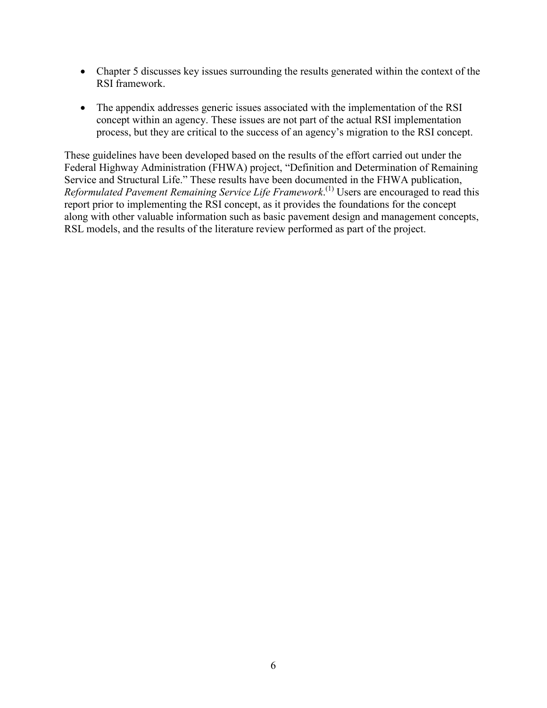- Chapter 5 discusses key issues surrounding the results generated within the context of the RSI framework.
- The appendix addresses generic issues associated with the implementation of the RSI concept within an agency. These issues are not part of the actual RSI implementation process, but they are critical to the success of an agency's migration to the RSI concept.

These guidelines have been developed based on the results of the effort carried out under the Federal Highway Administration (FHWA) project, "Definition and Determination of Remaining Service and Structural Life." These results have been documented in the FHWA publication, Reformulated Pavement Remaining Service Life Framework.<sup>(1)</sup> Users are encouraged to read this report prior to implementing the RSI concept, as it provides the foundations for the concept along with other valuable information such as basic pavement design and management concepts, RSL models, and the results of the literature review performed as part of the project.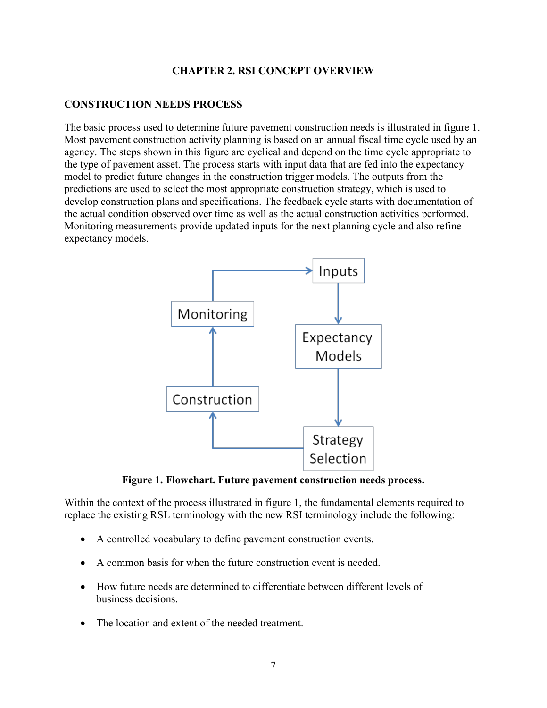#### **CHAPTER 2. RSI CONCEPT OVERVIEW**

#### <span id="page-14-1"></span><span id="page-14-0"></span>**CONSTRUCTION NEEDS PROCESS**

The basic process used to determine future pavement construction needs is illustrated in [figure 1.](#page-14-2) Most pavement construction activity planning is based on an annual fiscal time cycle used by an agency. The steps shown in this figure are cyclical and depend on the time cycle appropriate to the type of pavement asset. The process starts with input data that are fed into the expectancy model to predict future changes in the construction trigger models. The outputs from the predictions are used to select the most appropriate construction strategy, which is used to develop construction plans and specifications. The feedback cycle starts with documentation of the actual condition observed over time as well as the actual construction activities performed. Monitoring measurements provide updated inputs for the next planning cycle and also refine expectancy models.



**Figure 1. Flowchart. Future pavement construction needs process.**

<span id="page-14-2"></span>Within the context of the process illustrated in [figure 1,](#page-14-2) the fundamental elements required to replace the existing RSL terminology with the new RSI terminology include the following:

- A controlled vocabulary to define pavement construction events.
- A common basis for when the future construction event is needed.
- How future needs are determined to differentiate between different levels of business decisions.
- The location and extent of the needed treatment.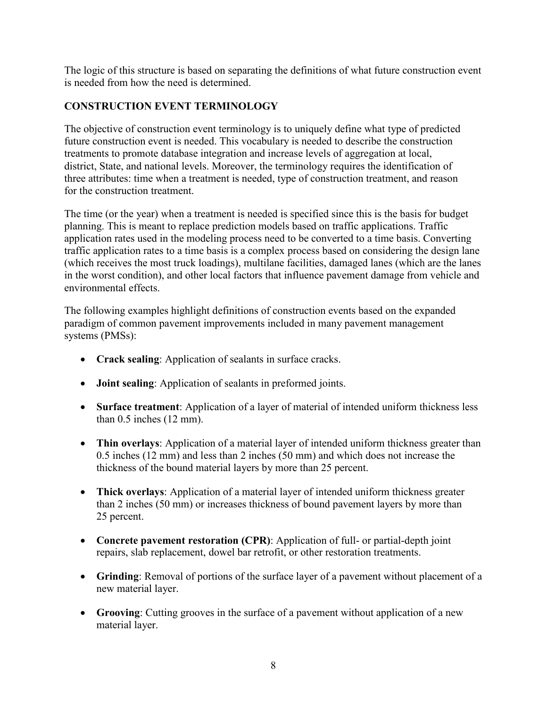The logic of this structure is based on separating the definitions of what future construction event is needed from how the need is determined.

# <span id="page-15-0"></span>**CONSTRUCTION EVENT TERMINOLOGY**

The objective of construction event terminology is to uniquely define what type of predicted future construction event is needed. This vocabulary is needed to describe the construction treatments to promote database integration and increase levels of aggregation at local, district, State, and national levels. Moreover, the terminology requires the identification of three attributes: time when a treatment is needed, type of construction treatment, and reason for the construction treatment.

The time (or the year) when a treatment is needed is specified since this is the basis for budget planning. This is meant to replace prediction models based on traffic applications. Traffic application rates used in the modeling process need to be converted to a time basis. Converting traffic application rates to a time basis is a complex process based on considering the design lane (which receives the most truck loadings), multilane facilities, damaged lanes (which are the lanes in the worst condition), and other local factors that influence pavement damage from vehicle and environmental effects.

The following examples highlight definitions of construction events based on the expanded paradigm of common pavement improvements included in many pavement management systems (PMSs):

- **Crack sealing**: Application of sealants in surface cracks.
- **Joint sealing**: Application of sealants in preformed joints.
- **Surface treatment**: Application of a layer of material of intended uniform thickness less than 0.5 inches (12 mm).
- **Thin overlays**: Application of a material layer of intended uniform thickness greater than 0.5 inches (12 mm) and less than 2 inches (50 mm) and which does not increase the thickness of the bound material layers by more than 25 percent.
- **Thick overlays**: Application of a material layer of intended uniform thickness greater than 2 inches (50 mm) or increases thickness of bound pavement layers by more than 25 percent.
- **Concrete pavement restoration (CPR)**: Application of full- or partial-depth joint repairs, slab replacement, dowel bar retrofit, or other restoration treatments.
- **Grinding**: Removal of portions of the surface layer of a pavement without placement of a new material layer.
- **Grooving**: Cutting grooves in the surface of a pavement without application of a new material layer.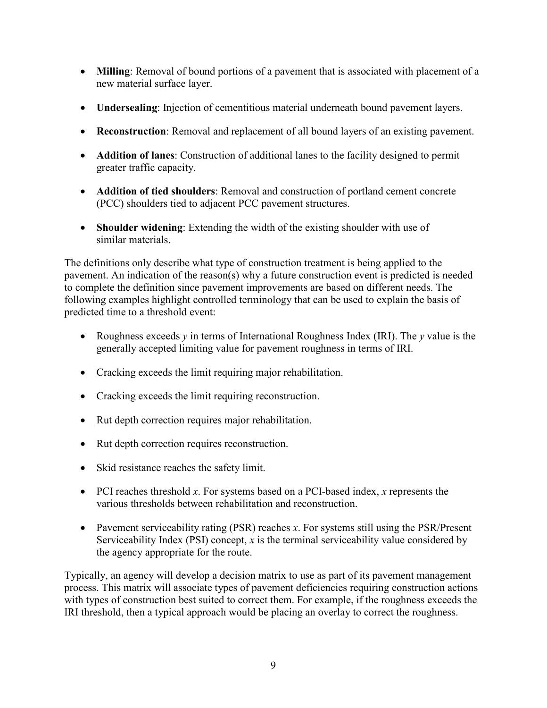- **Milling**: Removal of bound portions of a pavement that is associated with placement of a new material surface layer.
- **Undersealing**: Injection of cementitious material underneath bound pavement layers.
- **Reconstruction**: Removal and replacement of all bound layers of an existing pavement.
- **Addition of lanes**: Construction of additional lanes to the facility designed to permit greater traffic capacity.
- **Addition of tied shoulders**: Removal and construction of portland cement concrete (PCC) shoulders tied to adjacent PCC pavement structures.
- **Shoulder widening**: Extending the width of the existing shoulder with use of similar materials.

The definitions only describe what type of construction treatment is being applied to the pavement. An indication of the reason(s) why a future construction event is predicted is needed to complete the definition since pavement improvements are based on different needs. The following examples highlight controlled terminology that can be used to explain the basis of predicted time to a threshold event:

- Roughness exceeds *y* in terms of International Roughness Index (IRI). The *y* value is the generally accepted limiting value for pavement roughness in terms of IRI.
- Cracking exceeds the limit requiring major rehabilitation.
- Cracking exceeds the limit requiring reconstruction.
- Rut depth correction requires major rehabilitation.
- Rut depth correction requires reconstruction.
- Skid resistance reaches the safety limit.
- PCI reaches threshold *x*. For systems based on a PCI-based index, *x* represents the various thresholds between rehabilitation and reconstruction.
- Pavement serviceability rating (PSR) reaches *x*. For systems still using the PSR/Present Serviceability Index (PSI) concept, *x* is the terminal serviceability value considered by the agency appropriate for the route.

Typically, an agency will develop a decision matrix to use as part of its pavement management process. This matrix will associate types of pavement deficiencies requiring construction actions with types of construction best suited to correct them. For example, if the roughness exceeds the IRI threshold, then a typical approach would be placing an overlay to correct the roughness.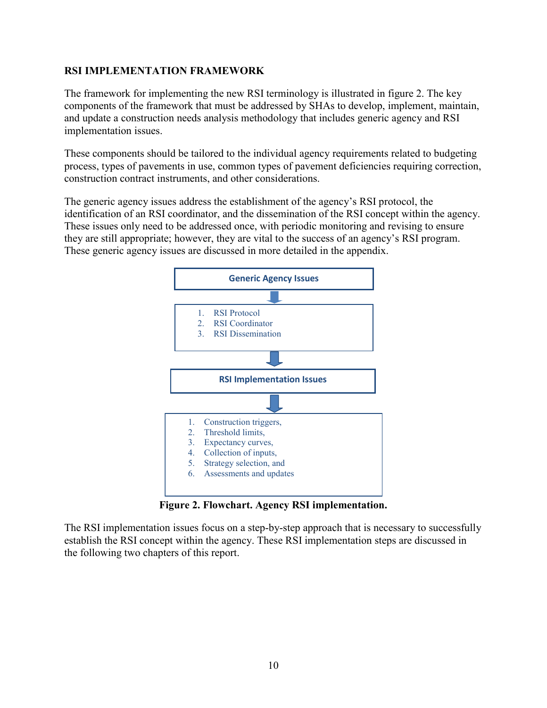#### <span id="page-17-0"></span>**RSI IMPLEMENTATION FRAMEWORK**

The framework for implementing the new RSI terminology is illustrated in [figure 2.](#page-17-2) The key components of the framework that must be addressed by SHAs to develop, implement, maintain, and update a construction needs analysis methodology that includes generic agency and RSI implementation issues.

These components should be tailored to the individual agency requirements related to budgeting process, types of pavements in use, common types of pavement deficiencies requiring correction, construction contract instruments, and other considerations.

<span id="page-17-2"></span>The generic agency issues address the establishment of the agency's RSI protocol, the identification of an RSI coordinator, and the dissemination of the RSI concept within the agency. These issues only need to be addressed once, with periodic monitoring and revising to ensure they are still appropriate; however, they are vital to the success of an agency's RSI program. These generic agency issues are discussed in more detailed in the appendix.



**Figure 2. Flowchart. Agency RSI implementation.**

<span id="page-17-1"></span>The RSI implementation issues focus on a step-by-step approach that is necessary to successfully establish the RSI concept within the agency. These RSI implementation steps are discussed in the following two chapters of this report.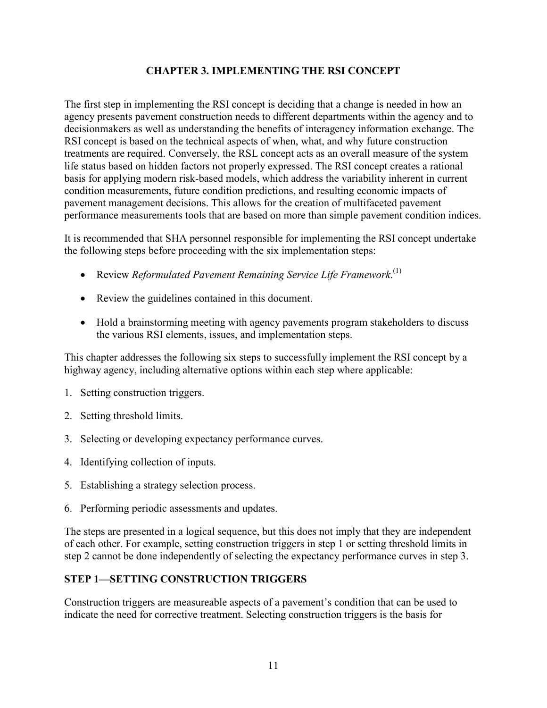# **CHAPTER 3. IMPLEMENTING THE RSI CONCEPT**

<span id="page-18-0"></span>The first step in implementing the RSI concept is deciding that a change is needed in how an agency presents pavement construction needs to different departments within the agency and to decisionmakers as well as understanding the benefits of interagency information exchange. The RSI concept is based on the technical aspects of when, what, and why future construction treatments are required. Conversely, the RSL concept acts as an overall measure of the system life status based on hidden factors not properly expressed. The RSI concept creates a rational basis for applying modern risk-based models, which address the variability inherent in current condition measurements, future condition predictions, and resulting economic impacts of pavement management decisions. This allows for the creation of multifaceted pavement performance measurements tools that are based on more than simple pavement condition indices.

It is recommended that SHA personnel responsible for implementing the RSI concept undertake the following steps before proceeding with the six implementation steps:

- Review *Reformulated Pavement Remaining Service Life Framework*.<sup>(1)</sup>
- Review the guidelines contained in this document.
- Hold a brainstorming meeting with agency pavements program stakeholders to discuss the various RSI elements, issues, and implementation steps.

This chapter addresses the following six steps to successfully implement the RSI concept by a highway agency, including alternative options within each step where applicable:

- 1. Setting construction triggers.
- 2. Setting threshold limits.
- 3. Selecting or developing expectancy performance curves.
- 4. Identifying collection of inputs.
- 5. Establishing a strategy selection process.
- 6. Performing periodic assessments and updates.

The steps are presented in a logical sequence, but this does not imply that they are independent of each other. For example, setting construction triggers in step 1 or setting threshold limits in step 2 cannot be done independently of selecting the expectancy performance curves in step 3.

#### <span id="page-18-1"></span>**STEP 1—SETTING CONSTRUCTION TRIGGERS**

Construction triggers are measureable aspects of a pavement's condition that can be used to indicate the need for corrective treatment. Selecting construction triggers is the basis for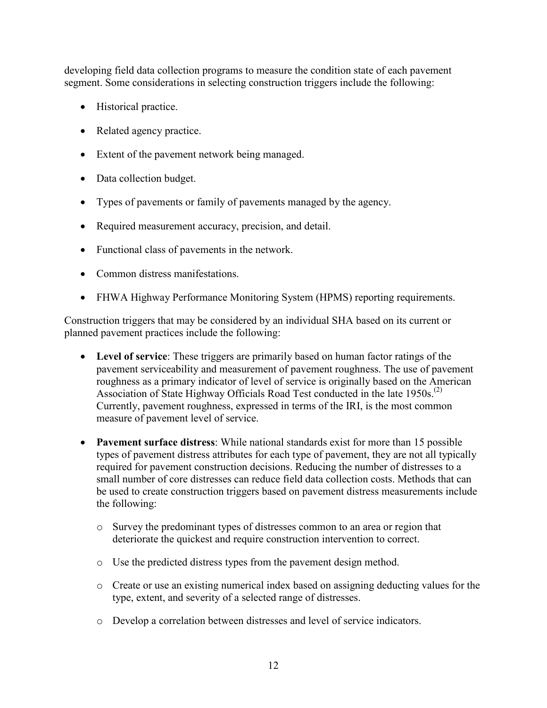developing field data collection programs to measure the condition state of each pavement segment. Some considerations in selecting construction triggers include the following:

- Historical practice.
- Related agency practice.
- Extent of the pavement network being managed.
- Data collection budget.
- Types of pavements or family of pavements managed by the agency.
- Required measurement accuracy, precision, and detail.
- Functional class of pavements in the network.
- Common distress manifestations
- FHWA Highway Performance Monitoring System (HPMS) reporting requirements.

Construction triggers that may be considered by an individual SHA based on its current or planned pavement practices include the following:

- **Level of service**: These triggers are primarily based on human factor ratings of the pavement serviceability and measurement of pavement roughness. The use of pavement roughness as a primary indicator of level of service is originally based on the American Association of State Highway Officials Road Test conducted in the late 1950s.<sup>(2)</sup> Currently, pavement roughness, expressed in terms of the IRI, is the most common measure of pavement level of service.
- **Pavement surface distress**: While national standards exist for more than 15 possible types of pavement distress attributes for each type of pavement, they are not all typically required for pavement construction decisions. Reducing the number of distresses to a small number of core distresses can reduce field data collection costs. Methods that can be used to create construction triggers based on pavement distress measurements include the following:
	- o Survey the predominant types of distresses common to an area or region that deteriorate the quickest and require construction intervention to correct.
	- o Use the predicted distress types from the pavement design method.
	- o Create or use an existing numerical index based on assigning deducting values for the type, extent, and severity of a selected range of distresses.
	- o Develop a correlation between distresses and level of service indicators.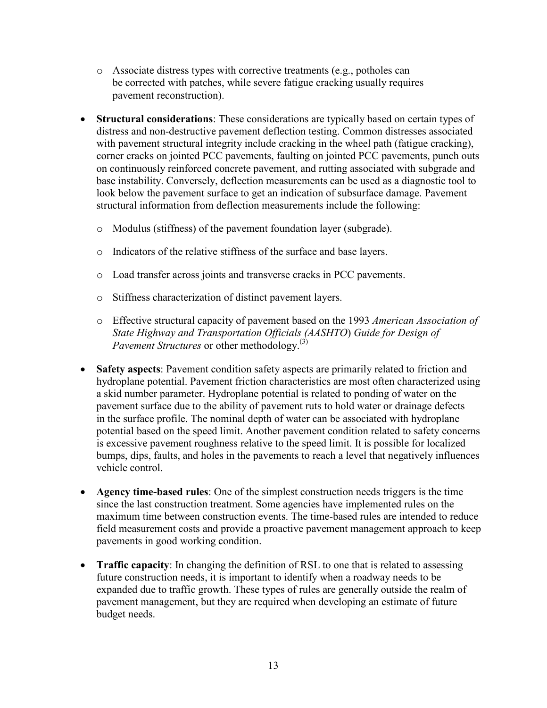- o Associate distress types with corrective treatments (e.g., potholes can be corrected with patches, while severe fatigue cracking usually requires pavement reconstruction).
- **Structural considerations**: These considerations are typically based on certain types of distress and non-destructive pavement deflection testing. Common distresses associated with pavement structural integrity include cracking in the wheel path (fatigue cracking), corner cracks on jointed PCC pavements, faulting on jointed PCC pavements, punch outs on continuously reinforced concrete pavement, and rutting associated with subgrade and base instability. Conversely, deflection measurements can be used as a diagnostic tool to look below the pavement surface to get an indication of subsurface damage. Pavement structural information from deflection measurements include the following:
	- o Modulus (stiffness) of the pavement foundation layer (subgrade).
	- o Indicators of the relative stiffness of the surface and base layers.
	- o Load transfer across joints and transverse cracks in PCC pavements.
	- o Stiffness characterization of distinct pavement layers.
	- o Effective structural capacity of pavement based on the 1993 *American Association of State Highway and Transportation Officials (AASHTO*) *Guide for Design of Pavement Structures* or other methodology.(3)
- **Safety aspects**: Pavement condition safety aspects are primarily related to friction and hydroplane potential. Pavement friction characteristics are most often characterized using a skid number parameter. Hydroplane potential is related to ponding of water on the pavement surface due to the ability of pavement ruts to hold water or drainage defects in the surface profile. The nominal depth of water can be associated with hydroplane potential based on the speed limit. Another pavement condition related to safety concerns is excessive pavement roughness relative to the speed limit. It is possible for localized bumps, dips, faults, and holes in the pavements to reach a level that negatively influences vehicle control.
- **Agency time-based rules**: One of the simplest construction needs triggers is the time since the last construction treatment. Some agencies have implemented rules on the maximum time between construction events. The time-based rules are intended to reduce field measurement costs and provide a proactive pavement management approach to keep pavements in good working condition.
- **Traffic capacity**: In changing the definition of RSL to one that is related to assessing future construction needs, it is important to identify when a roadway needs to be expanded due to traffic growth. These types of rules are generally outside the realm of pavement management, but they are required when developing an estimate of future budget needs.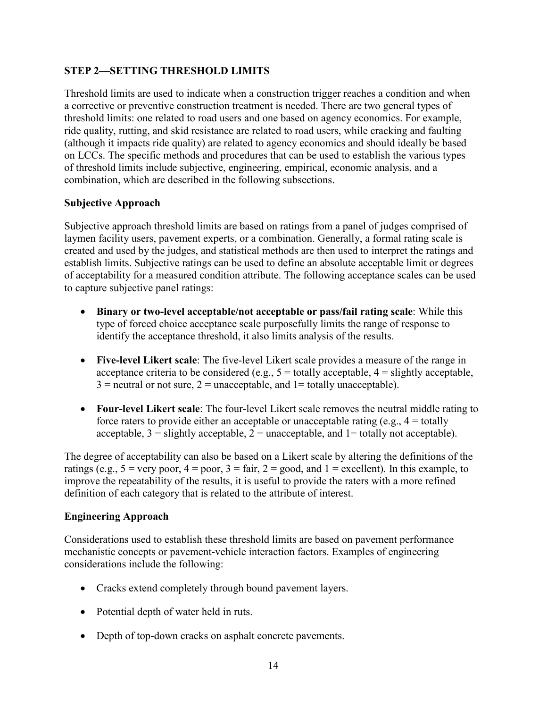# <span id="page-21-0"></span>**STEP 2—SETTING THRESHOLD LIMITS**

Threshold limits are used to indicate when a construction trigger reaches a condition and when a corrective or preventive construction treatment is needed. There are two general types of threshold limits: one related to road users and one based on agency economics. For example, ride quality, rutting, and skid resistance are related to road users, while cracking and faulting (although it impacts ride quality) are related to agency economics and should ideally be based on LCCs. The specific methods and procedures that can be used to establish the various types of threshold limits include subjective, engineering, empirical, economic analysis, and a combination, which are described in the following subsections.

#### <span id="page-21-1"></span>**Subjective Approach**

Subjective approach threshold limits are based on ratings from a panel of judges comprised of laymen facility users, pavement experts, or a combination. Generally, a formal rating scale is created and used by the judges, and statistical methods are then used to interpret the ratings and establish limits. Subjective ratings can be used to define an absolute acceptable limit or degrees of acceptability for a measured condition attribute. The following acceptance scales can be used to capture subjective panel ratings:

- **Binary or two-level acceptable/not acceptable or pass/fail rating scale**: While this type of forced choice acceptance scale purposefully limits the range of response to identify the acceptance threshold, it also limits analysis of the results.
- **Five-level Likert scale**: The five-level Likert scale provides a measure of the range in acceptance criteria to be considered (e.g.,  $5 =$  totally acceptable,  $4 =$  slightly acceptable,  $3$  = neutral or not sure,  $2$  = unacceptable, and  $1$  = totally unacceptable).
- **Four-level Likert scale**: The four-level Likert scale removes the neutral middle rating to force raters to provide either an acceptable or unacceptable rating (e.g.,  $4 =$  totally acceptable,  $3 =$  slightly acceptable,  $2 =$  unacceptable, and  $1 =$  totally not acceptable).

The degree of acceptability can also be based on a Likert scale by altering the definitions of the ratings (e.g.,  $5 = \text{very poor}, 4 = \text{poor}, 3 = \text{fair}, 2 = \text{good}, \text{and } 1 = \text{excellent}$ ). In this example, to improve the repeatability of the results, it is useful to provide the raters with a more refined definition of each category that is related to the attribute of interest.

#### <span id="page-21-2"></span>**Engineering Approach**

Considerations used to establish these threshold limits are based on pavement performance mechanistic concepts or pavement-vehicle interaction factors. Examples of engineering considerations include the following:

- Cracks extend completely through bound pavement layers.
- Potential depth of water held in ruts.
- Depth of top-down cracks on asphalt concrete pavements.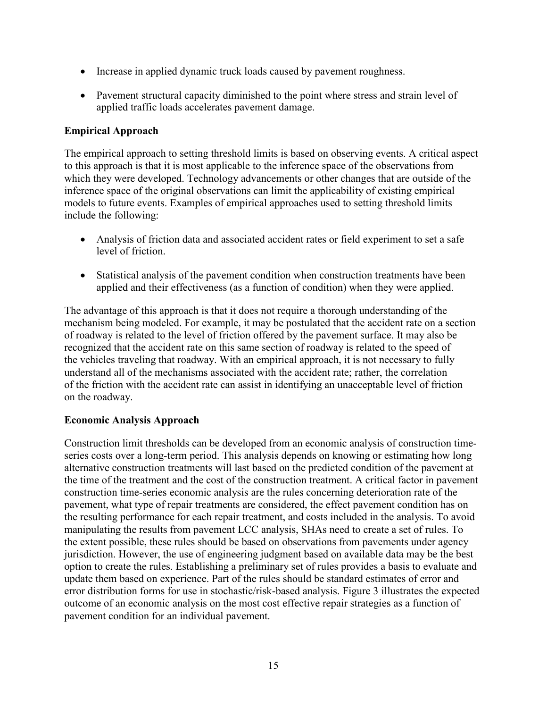- Increase in applied dynamic truck loads caused by pavement roughness.
- Pavement structural capacity diminished to the point where stress and strain level of applied traffic loads accelerates pavement damage.

### <span id="page-22-0"></span>**Empirical Approach**

The empirical approach to setting threshold limits is based on observing events. A critical aspect to this approach is that it is most applicable to the inference space of the observations from which they were developed. Technology advancements or other changes that are outside of the inference space of the original observations can limit the applicability of existing empirical models to future events. Examples of empirical approaches used to setting threshold limits include the following:

- Analysis of friction data and associated accident rates or field experiment to set a safe level of friction.
- Statistical analysis of the pavement condition when construction treatments have been applied and their effectiveness (as a function of condition) when they were applied.

The advantage of this approach is that it does not require a thorough understanding of the mechanism being modeled. For example, it may be postulated that the accident rate on a section of roadway is related to the level of friction offered by the pavement surface. It may also be recognized that the accident rate on this same section of roadway is related to the speed of the vehicles traveling that roadway. With an empirical approach, it is not necessary to fully understand all of the mechanisms associated with the accident rate; rather, the correlation of the friction with the accident rate can assist in identifying an unacceptable level of friction on the roadway.

# <span id="page-22-1"></span>**Economic Analysis Approach**

Construction limit thresholds can be developed from an economic analysis of construction timeseries costs over a long-term period. This analysis depends on knowing or estimating how long alternative construction treatments will last based on the predicted condition of the pavement at the time of the treatment and the cost of the construction treatment. A critical factor in pavement construction time-series economic analysis are the rules concerning deterioration rate of the pavement, what type of repair treatments are considered, the effect pavement condition has on the resulting performance for each repair treatment, and costs included in the analysis. To avoid manipulating the results from pavement LCC analysis, SHAs need to create a set of rules. To the extent possible, these rules should be based on observations from pavements under agency jurisdiction. However, the use of engineering judgment based on available data may be the best option to create the rules. Establishing a preliminary set of rules provides a basis to evaluate and update them based on experience. Part of the rules should be standard estimates of error and error distribution forms for use in stochastic/risk-based analysis. [Figure 3](#page-23-1) illustrates the expected outcome of an economic analysis on the most cost effective repair strategies as a function of pavement condition for an individual pavement.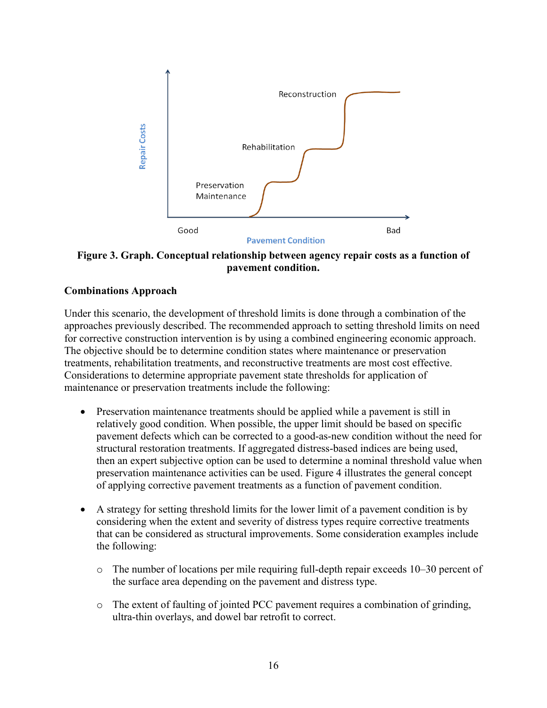

<span id="page-23-1"></span>**Figure 3. Graph. Conceptual relationship between agency repair costs as a function of pavement condition.**

#### <span id="page-23-0"></span>**Combinations Approach**

Under this scenario, the development of threshold limits is done through a combination of the approaches previously described. The recommended approach to setting threshold limits on need for corrective construction intervention is by using a combined engineering economic approach. The objective should be to determine condition states where maintenance or preservation treatments, rehabilitation treatments, and reconstructive treatments are most cost effective. Considerations to determine appropriate pavement state thresholds for application of maintenance or preservation treatments include the following:

- Preservation maintenance treatments should be applied while a pavement is still in relatively good condition. When possible, the upper limit should be based on specific pavement defects which can be corrected to a good-as-new condition without the need for structural restoration treatments. If aggregated distress-based indices are being used, then an expert subjective option can be used to determine a nominal threshold value when preservation maintenance activities can be used. Figure 4 illustrates the general concept of applying corrective pavement treatments as a function of pavement condition.
- A strategy for setting threshold limits for the lower limit of a pavement condition is by considering when the extent and severity of distress types require corrective treatments that can be considered as structural improvements. Some consideration examples include the following:
	- o The number of locations per mile requiring full-depth repair exceeds 10–30 percent of the surface area depending on the pavement and distress type.
	- o The extent of faulting of jointed PCC pavement requires a combination of grinding, ultra-thin overlays, and dowel bar retrofit to correct.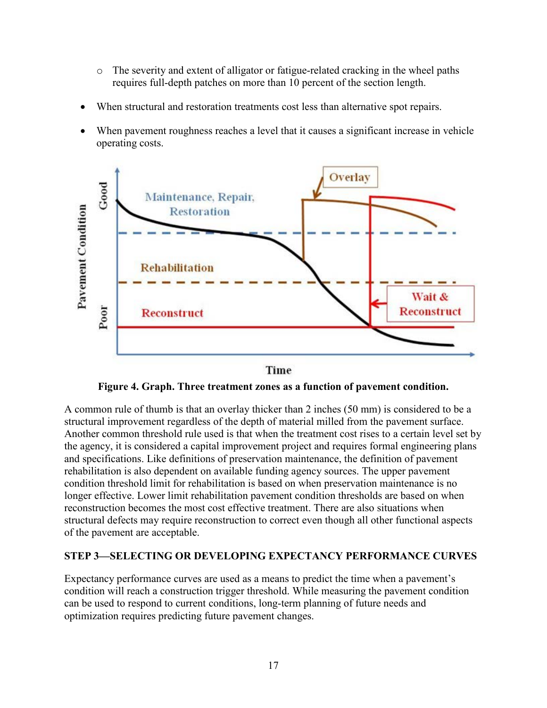- o The severity and extent of alligator or fatigue-related cracking in the wheel paths requires full-depth patches on more than 10 percent of the section length.
- When structural and restoration treatments cost less than alternative spot repairs.
- When pavement roughness reaches a level that it causes a significant increase in vehicle operating costs.



Time

**Figure 4. Graph. Three treatment zones as a function of pavement condition.**

<span id="page-24-1"></span>A common rule of thumb is that an overlay thicker than 2 inches (50 mm) is considered to be a structural improvement regardless of the depth of material milled from the pavement surface. Another common threshold rule used is that when the treatment cost rises to a certain level set by the agency, it is considered a capital improvement project and requires formal engineering plans and specifications. Like definitions of preservation maintenance, the definition of pavement rehabilitation is also dependent on available funding agency sources. The upper pavement condition threshold limit for rehabilitation is based on when preservation maintenance is no longer effective. Lower limit rehabilitation pavement condition thresholds are based on when reconstruction becomes the most cost effective treatment. There are also situations when structural defects may require reconstruction to correct even though all other functional aspects of the pavement are acceptable.

# <span id="page-24-0"></span>**STEP 3—SELECTING OR DEVELOPING EXPECTANCY PERFORMANCE CURVES**

Expectancy performance curves are used as a means to predict the time when a pavement's condition will reach a construction trigger threshold. While measuring the pavement condition can be used to respond to current conditions, long-term planning of future needs and optimization requires predicting future pavement changes.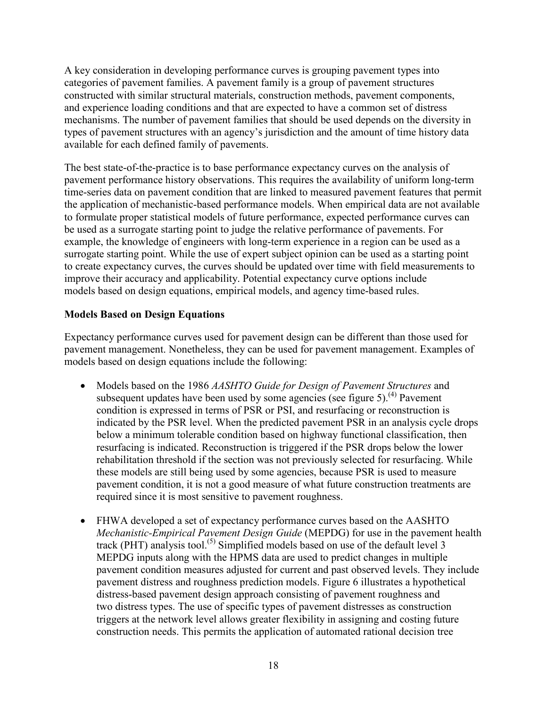A key consideration in developing performance curves is grouping pavement types into categories of pavement families. A pavement family is a group of pavement structures constructed with similar structural materials, construction methods, pavement components, and experience loading conditions and that are expected to have a common set of distress mechanisms. The number of pavement families that should be used depends on the diversity in types of pavement structures with an agency's jurisdiction and the amount of time history data available for each defined family of pavements.

The best state-of-the-practice is to base performance expectancy curves on the analysis of pavement performance history observations. This requires the availability of uniform long-term time-series data on pavement condition that are linked to measured pavement features that permit the application of mechanistic-based performance models. When empirical data are not available to formulate proper statistical models of future performance, expected performance curves can be used as a surrogate starting point to judge the relative performance of pavements. For example, the knowledge of engineers with long-term experience in a region can be used as a surrogate starting point. While the use of expert subject opinion can be used as a starting point to create expectancy curves, the curves should be updated over time with field measurements to improve their accuracy and applicability. Potential expectancy curve options include models based on design equations, empirical models, and agency time-based rules.

# <span id="page-25-0"></span>**Models Based on Design Equations**

Expectancy performance curves used for pavement design can be different than those used for pavement management. Nonetheless, they can be used for pavement management. Examples of models based on design equations include the following:

- Models based on the 1986 *AASHTO Guide for Design of Pavement Structures* and subsequent updates have been used by some agencies (see [figure 5\)](#page-26-0).<sup>(4)</sup> Pavement condition is expressed in terms of PSR or PSI, and resurfacing or reconstruction is indicated by the PSR level. When the predicted pavement PSR in an analysis cycle drops below a minimum tolerable condition based on highway functional classification, then resurfacing is indicated. Reconstruction is triggered if the PSR drops below the lower rehabilitation threshold if the section was not previously selected for resurfacing. While these models are still being used by some agencies, because PSR is used to measure pavement condition, it is not a good measure of what future construction treatments are required since it is most sensitive to pavement roughness.
- FHWA developed a set of expectancy performance curves based on the AASHTO *Mechanistic-Empirical Pavement Design Guide* (MEPDG) for use in the pavement health track (PHT) analysis tool.<sup>(5)</sup> Simplified models based on use of the default level 3 MEPDG inputs along with the HPMS data are used to predict changes in multiple pavement condition measures adjusted for current and past observed levels. They include pavement distress and roughness prediction models. [Figure 6](#page-26-1) illustrates a hypothetical distress-based pavement design approach consisting of pavement roughness and two distress types. The use of specific types of pavement distresses as construction triggers at the network level allows greater flexibility in assigning and costing future construction needs. This permits the application of automated rational decision tree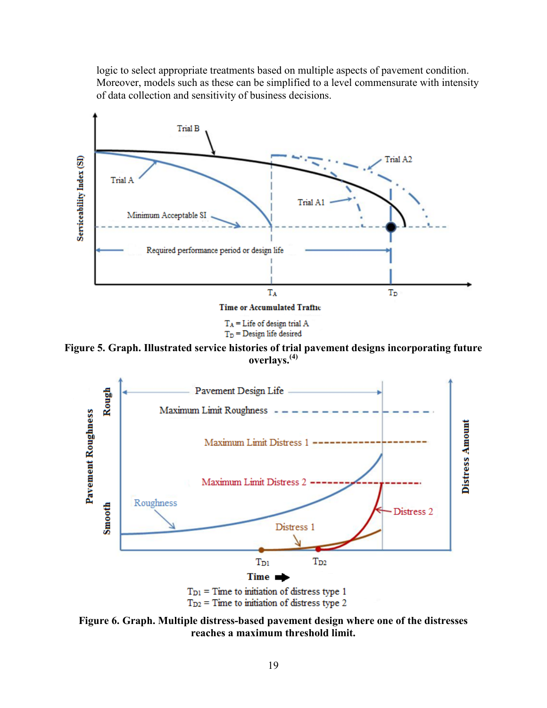logic to select appropriate treatments based on multiple aspects of pavement condition. Moreover, models such as these can be simplified to a level commensurate with intensity of data collection and sensitivity of business decisions.



 $T_A$  = Life of design trial A  $T_D$  = Design life desired

<span id="page-26-0"></span>**Figure 5. Graph. Illustrated service histories of trial pavement designs incorporating future overlays.(4)**



<span id="page-26-1"></span>**Figure 6. Graph. Multiple distress-based pavement design where one of the distresses reaches a maximum threshold limit.**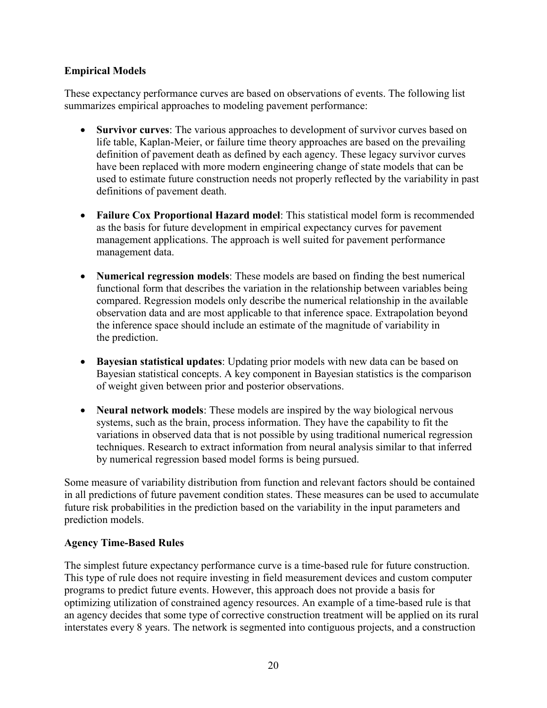## <span id="page-27-0"></span>**Empirical Models**

These expectancy performance curves are based on observations of events. The following list summarizes empirical approaches to modeling pavement performance:

- **Survivor curves**: The various approaches to development of survivor curves based on life table, Kaplan-Meier, or failure time theory approaches are based on the prevailing definition of pavement death as defined by each agency. These legacy survivor curves have been replaced with more modern engineering change of state models that can be used to estimate future construction needs not properly reflected by the variability in past definitions of pavement death.
- **Failure Cox Proportional Hazard model**: This statistical model form is recommended as the basis for future development in empirical expectancy curves for pavement management applications. The approach is well suited for pavement performance management data.
- **Numerical regression models**: These models are based on finding the best numerical functional form that describes the variation in the relationship between variables being compared. Regression models only describe the numerical relationship in the available observation data and are most applicable to that inference space. Extrapolation beyond the inference space should include an estimate of the magnitude of variability in the prediction.
- **Bayesian statistical updates**: Updating prior models with new data can be based on Bayesian statistical concepts. A key component in Bayesian statistics is the comparison of weight given between prior and posterior observations.
- **Neural network models**: These models are inspired by the way biological nervous systems, such as the brain, process information. They have the capability to fit the variations in observed data that is not possible by using traditional numerical regression techniques. Research to extract information from neural analysis similar to that inferred by numerical regression based model forms is being pursued.

Some measure of variability distribution from function and relevant factors should be contained in all predictions of future pavement condition states. These measures can be used to accumulate future risk probabilities in the prediction based on the variability in the input parameters and prediction models.

# <span id="page-27-1"></span>**Agency Time-Based Rules**

The simplest future expectancy performance curve is a time-based rule for future construction. This type of rule does not require investing in field measurement devices and custom computer programs to predict future events. However, this approach does not provide a basis for optimizing utilization of constrained agency resources. An example of a time-based rule is that an agency decides that some type of corrective construction treatment will be applied on its rural interstates every 8 years. The network is segmented into contiguous projects, and a construction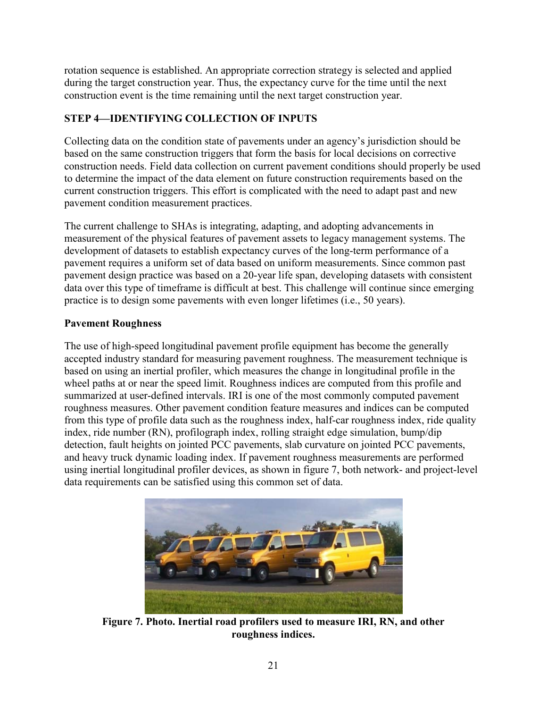rotation sequence is established. An appropriate correction strategy is selected and applied during the target construction year. Thus, the expectancy curve for the time until the next construction event is the time remaining until the next target construction year.

# <span id="page-28-0"></span>**STEP 4—IDENTIFYING COLLECTION OF INPUTS**

Collecting data on the condition state of pavements under an agency's jurisdiction should be based on the same construction triggers that form the basis for local decisions on corrective construction needs. Field data collection on current pavement conditions should properly be used to determine the impact of the data element on future construction requirements based on the current construction triggers. This effort is complicated with the need to adapt past and new pavement condition measurement practices.

The current challenge to SHAs is integrating, adapting, and adopting advancements in measurement of the physical features of pavement assets to legacy management systems. The development of datasets to establish expectancy curves of the long-term performance of a pavement requires a uniform set of data based on uniform measurements. Since common past pavement design practice was based on a 20-year life span, developing datasets with consistent data over this type of timeframe is difficult at best. This challenge will continue since emerging practice is to design some pavements with even longer lifetimes (i.e., 50 years).

# <span id="page-28-1"></span>**Pavement Roughness**

The use of high-speed longitudinal pavement profile equipment has become the generally accepted industry standard for measuring pavement roughness. The measurement technique is based on using an inertial profiler, which measures the change in longitudinal profile in the wheel paths at or near the speed limit. Roughness indices are computed from this profile and summarized at user-defined intervals. IRI is one of the most commonly computed pavement roughness measures. Other pavement condition feature measures and indices can be computed from this type of profile data such as the roughness index, half-car roughness index, ride quality index, ride number (RN), profilograph index, rolling straight edge simulation, bump/dip detection, fault heights on jointed PCC pavements, slab curvature on jointed PCC pavements, and heavy truck dynamic loading index. If pavement roughness measurements are performed using inertial longitudinal profiler devices, as shown in [figure 7,](#page-28-2) both network- and project-level data requirements can be satisfied using this common set of data.

<span id="page-28-2"></span>

**Figure 7. Photo. Inertial road profilers used to measure IRI, RN, and other roughness indices.**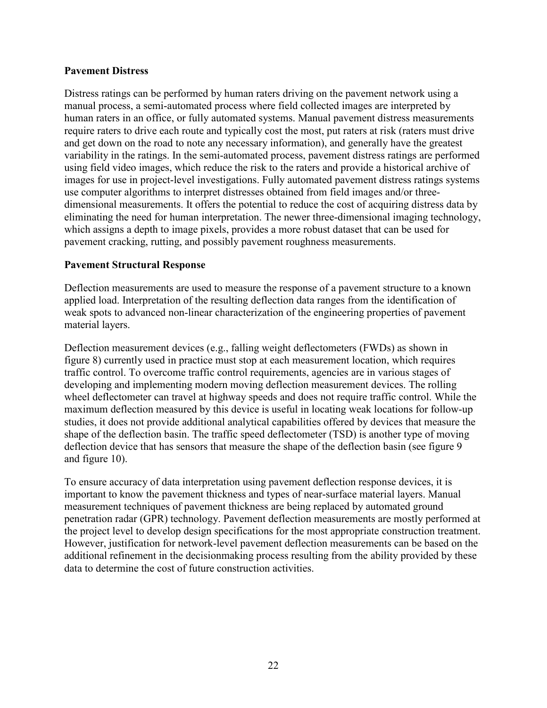#### <span id="page-29-0"></span>**Pavement Distress**

Distress ratings can be performed by human raters driving on the pavement network using a manual process, a semi-automated process where field collected images are interpreted by human raters in an office, or fully automated systems. Manual pavement distress measurements require raters to drive each route and typically cost the most, put raters at risk (raters must drive and get down on the road to note any necessary information), and generally have the greatest variability in the ratings. In the semi-automated process, pavement distress ratings are performed using field video images, which reduce the risk to the raters and provide a historical archive of images for use in project-level investigations. Fully automated pavement distress ratings systems use computer algorithms to interpret distresses obtained from field images and/or threedimensional measurements. It offers the potential to reduce the cost of acquiring distress data by eliminating the need for human interpretation. The newer three-dimensional imaging technology, which assigns a depth to image pixels, provides a more robust dataset that can be used for pavement cracking, rutting, and possibly pavement roughness measurements.

#### <span id="page-29-1"></span>**Pavement Structural Response**

Deflection measurements are used to measure the response of a pavement structure to a known applied load. Interpretation of the resulting deflection data ranges from the identification of weak spots to advanced non-linear characterization of the engineering properties of pavement material layers.

Deflection measurement devices (e.g., falling weight deflectometers (FWDs) as shown in [figure 8\)](#page-30-1) currently used in practice must stop at each measurement location, which requires traffic control. To overcome traffic control requirements, agencies are in various stages of developing and implementing modern moving deflection measurement devices. The rolling wheel deflectometer can travel at highway speeds and does not require traffic control. While the maximum deflection measured by this device is useful in locating weak locations for follow-up studies, it does not provide additional analytical capabilities offered by devices that measure the shape of the deflection basin. The traffic speed deflectometer (TSD) is another type of moving deflection device that has sensors that measure the shape of the deflection basin (see [figure 9](#page-30-2) and [figure 10\)](#page-30-3).

To ensure accuracy of data interpretation using pavement deflection response devices, it is important to know the pavement thickness and types of near-surface material layers. Manual measurement techniques of pavement thickness are being replaced by automated ground penetration radar (GPR) technology. Pavement deflection measurements are mostly performed at the project level to develop design specifications for the most appropriate construction treatment. However, justification for network-level pavement deflection measurements can be based on the additional refinement in the decisionmaking process resulting from the ability provided by these data to determine the cost of future construction activities.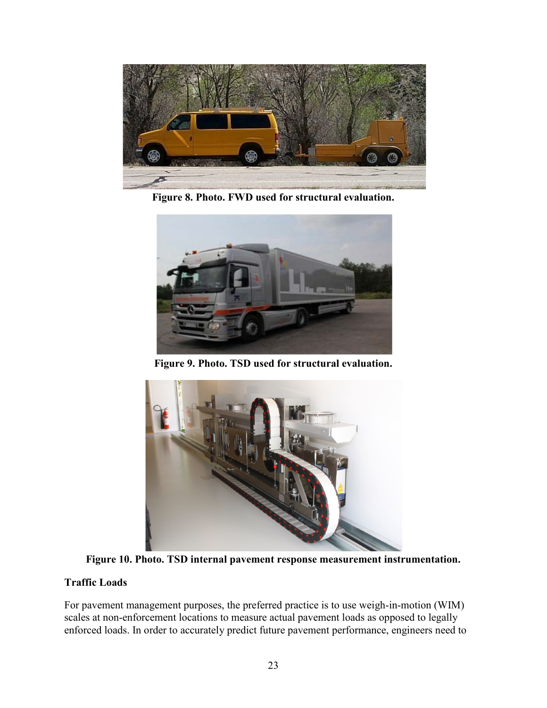

**Figure 8. Photo. FWD used for structural evaluation.**

<span id="page-30-1"></span>

**Figure 9. Photo. TSD used for structural evaluation.**

<span id="page-30-2"></span>

**Figure 10. Photo. TSD internal pavement response measurement instrumentation.** 

# <span id="page-30-3"></span><span id="page-30-0"></span>**Traffic Loads**

For pavement management purposes, the preferred practice is to use weigh-in-motion (WIM) scales at non-enforcement locations to measure actual pavement loads as opposed to legally enforced loads. In order to accurately predict future pavement performance, engineers need to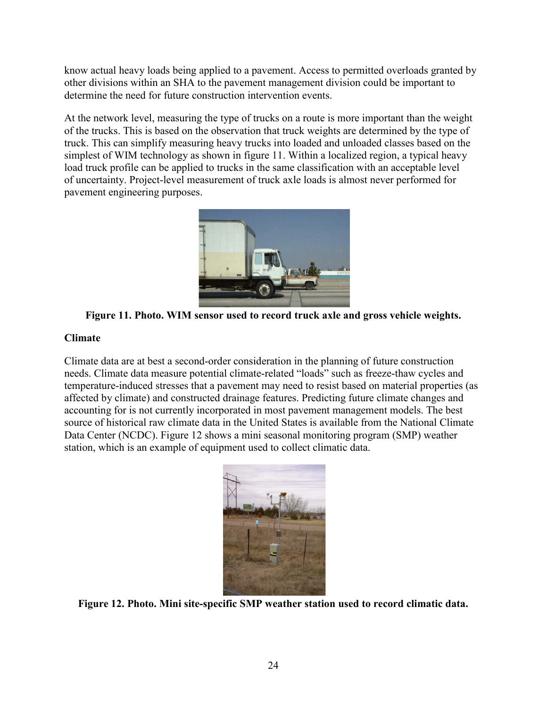know actual heavy loads being applied to a pavement. Access to permitted overloads granted by other divisions within an SHA to the pavement management division could be important to determine the need for future construction intervention events.

At the network level, measuring the type of trucks on a route is more important than the weight of the trucks. This is based on the observation that truck weights are determined by the type of truck. This can simplify measuring heavy trucks into loaded and unloaded classes based on the simplest of WIM technology as shown in [figure 11.](#page-31-1) Within a localized region, a typical heavy load truck profile can be applied to trucks in the same classification with an acceptable level of uncertainty. Project-level measurement of truck axle loads is almost never performed for pavement engineering purposes.



**Figure 11. Photo. WIM sensor used to record truck axle and gross vehicle weights.**

## <span id="page-31-1"></span><span id="page-31-0"></span>**Climate**

Climate data are at best a second-order consideration in the planning of future construction needs. Climate data measure potential climate-related "loads" such as freeze-thaw cycles and temperature-induced stresses that a pavement may need to resist based on material properties (as affected by climate) and constructed drainage features. Predicting future climate changes and accounting for is not currently incorporated in most pavement management models. The best source of historical raw climate data in the United States is available from the National Climate Data Center (NCDC). [Figure 12](#page-31-2) shows a mini seasonal monitoring program (SMP) weather station, which is an example of equipment used to collect climatic data.



<span id="page-31-2"></span>**Figure 12. Photo. Mini site-specific SMP weather station used to record climatic data.**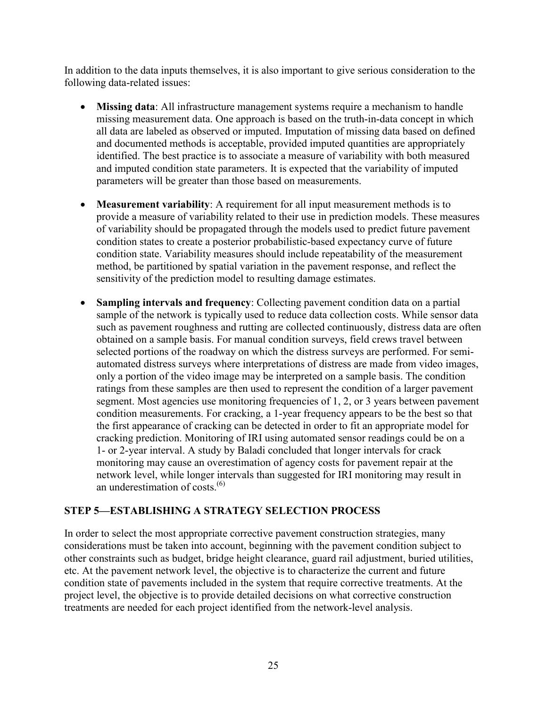In addition to the data inputs themselves, it is also important to give serious consideration to the following data-related issues:

- **Missing data**: All infrastructure management systems require a mechanism to handle missing measurement data. One approach is based on the truth-in-data concept in which all data are labeled as observed or imputed. Imputation of missing data based on defined and documented methods is acceptable, provided imputed quantities are appropriately identified. The best practice is to associate a measure of variability with both measured and imputed condition state parameters. It is expected that the variability of imputed parameters will be greater than those based on measurements.
- **Measurement variability**: A requirement for all input measurement methods is to provide a measure of variability related to their use in prediction models. These measures of variability should be propagated through the models used to predict future pavement condition states to create a posterior probabilistic-based expectancy curve of future condition state. Variability measures should include repeatability of the measurement method, be partitioned by spatial variation in the pavement response, and reflect the sensitivity of the prediction model to resulting damage estimates.
- **Sampling intervals and frequency**: Collecting pavement condition data on a partial sample of the network is typically used to reduce data collection costs. While sensor data such as pavement roughness and rutting are collected continuously, distress data are often obtained on a sample basis. For manual condition surveys, field crews travel between selected portions of the roadway on which the distress surveys are performed. For semiautomated distress surveys where interpretations of distress are made from video images, only a portion of the video image may be interpreted on a sample basis. The condition ratings from these samples are then used to represent the condition of a larger pavement segment. Most agencies use monitoring frequencies of 1, 2, or 3 years between pavement condition measurements. For cracking, a 1-year frequency appears to be the best so that the first appearance of cracking can be detected in order to fit an appropriate model for cracking prediction. Monitoring of IRI using automated sensor readings could be on a 1- or 2-year interval. A study by Baladi concluded that longer intervals for crack monitoring may cause an overestimation of agency costs for pavement repair at the network level, while longer intervals than suggested for IRI monitoring may result in an underestimation of costs. $^{(6)}$

# <span id="page-32-0"></span>**STEP 5—ESTABLISHING A STRATEGY SELECTION PROCESS**

In order to select the most appropriate corrective pavement construction strategies, many considerations must be taken into account, beginning with the pavement condition subject to other constraints such as budget, bridge height clearance, guard rail adjustment, buried utilities, etc. At the pavement network level, the objective is to characterize the current and future condition state of pavements included in the system that require corrective treatments. At the project level, the objective is to provide detailed decisions on what corrective construction treatments are needed for each project identified from the network-level analysis.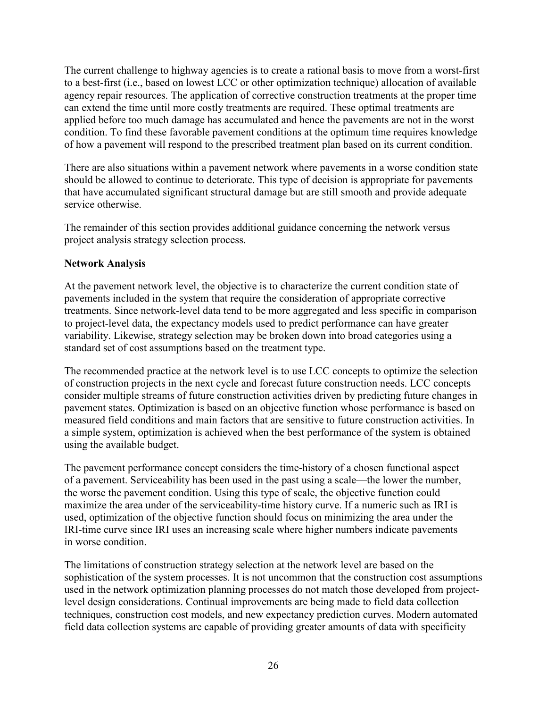The current challenge to highway agencies is to create a rational basis to move from a worst-first to a best-first (i.e., based on lowest LCC or other optimization technique) allocation of available agency repair resources. The application of corrective construction treatments at the proper time can extend the time until more costly treatments are required. These optimal treatments are applied before too much damage has accumulated and hence the pavements are not in the worst condition. To find these favorable pavement conditions at the optimum time requires knowledge of how a pavement will respond to the prescribed treatment plan based on its current condition.

There are also situations within a pavement network where pavements in a worse condition state should be allowed to continue to deteriorate. This type of decision is appropriate for pavements that have accumulated significant structural damage but are still smooth and provide adequate service otherwise.

The remainder of this section provides additional guidance concerning the network versus project analysis strategy selection process.

#### <span id="page-33-0"></span>**Network Analysis**

At the pavement network level, the objective is to characterize the current condition state of pavements included in the system that require the consideration of appropriate corrective treatments. Since network-level data tend to be more aggregated and less specific in comparison to project-level data, the expectancy models used to predict performance can have greater variability. Likewise, strategy selection may be broken down into broad categories using a standard set of cost assumptions based on the treatment type.

The recommended practice at the network level is to use LCC concepts to optimize the selection of construction projects in the next cycle and forecast future construction needs. LCC concepts consider multiple streams of future construction activities driven by predicting future changes in pavement states. Optimization is based on an objective function whose performance is based on measured field conditions and main factors that are sensitive to future construction activities. In a simple system, optimization is achieved when the best performance of the system is obtained using the available budget.

The pavement performance concept considers the time-history of a chosen functional aspect of a pavement. Serviceability has been used in the past using a scale—the lower the number, the worse the pavement condition. Using this type of scale, the objective function could maximize the area under of the serviceability-time history curve. If a numeric such as IRI is used, optimization of the objective function should focus on minimizing the area under the IRI-time curve since IRI uses an increasing scale where higher numbers indicate pavements in worse condition.

The limitations of construction strategy selection at the network level are based on the sophistication of the system processes. It is not uncommon that the construction cost assumptions used in the network optimization planning processes do not match those developed from projectlevel design considerations. Continual improvements are being made to field data collection techniques, construction cost models, and new expectancy prediction curves. Modern automated field data collection systems are capable of providing greater amounts of data with specificity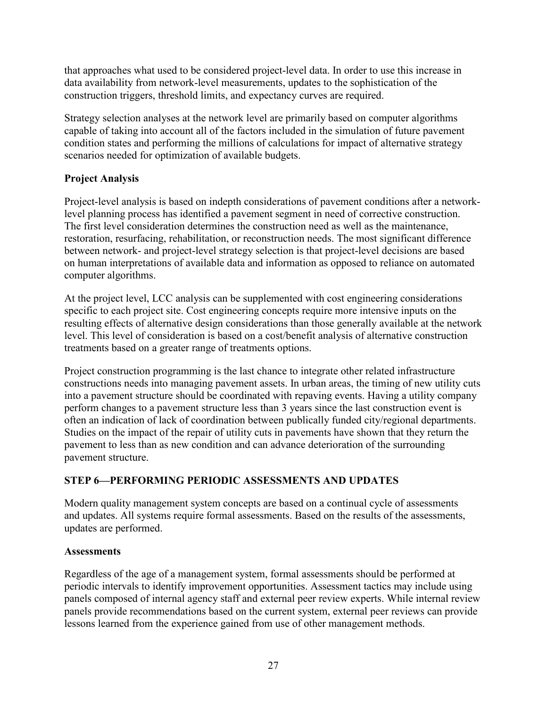that approaches what used to be considered project-level data. In order to use this increase in data availability from network-level measurements, updates to the sophistication of the construction triggers, threshold limits, and expectancy curves are required.

Strategy selection analyses at the network level are primarily based on computer algorithms capable of taking into account all of the factors included in the simulation of future pavement condition states and performing the millions of calculations for impact of alternative strategy scenarios needed for optimization of available budgets.

# <span id="page-34-0"></span>**Project Analysis**

Project-level analysis is based on indepth considerations of pavement conditions after a networklevel planning process has identified a pavement segment in need of corrective construction. The first level consideration determines the construction need as well as the maintenance, restoration, resurfacing, rehabilitation, or reconstruction needs. The most significant difference between network- and project-level strategy selection is that project-level decisions are based on human interpretations of available data and information as opposed to reliance on automated computer algorithms.

At the project level, LCC analysis can be supplemented with cost engineering considerations specific to each project site. Cost engineering concepts require more intensive inputs on the resulting effects of alternative design considerations than those generally available at the network level. This level of consideration is based on a cost/benefit analysis of alternative construction treatments based on a greater range of treatments options.

Project construction programming is the last chance to integrate other related infrastructure constructions needs into managing pavement assets. In urban areas, the timing of new utility cuts into a pavement structure should be coordinated with repaving events. Having a utility company perform changes to a pavement structure less than 3 years since the last construction event is often an indication of lack of coordination between publically funded city/regional departments. Studies on the impact of the repair of utility cuts in pavements have shown that they return the pavement to less than as new condition and can advance deterioration of the surrounding pavement structure.

# <span id="page-34-1"></span>**STEP 6—PERFORMING PERIODIC ASSESSMENTS AND UPDATES**

Modern quality management system concepts are based on a continual cycle of assessments and updates. All systems require formal assessments. Based on the results of the assessments, updates are performed.

#### <span id="page-34-2"></span>**Assessments**

Regardless of the age of a management system, formal assessments should be performed at periodic intervals to identify improvement opportunities. Assessment tactics may include using panels composed of internal agency staff and external peer review experts. While internal review panels provide recommendations based on the current system, external peer reviews can provide lessons learned from the experience gained from use of other management methods.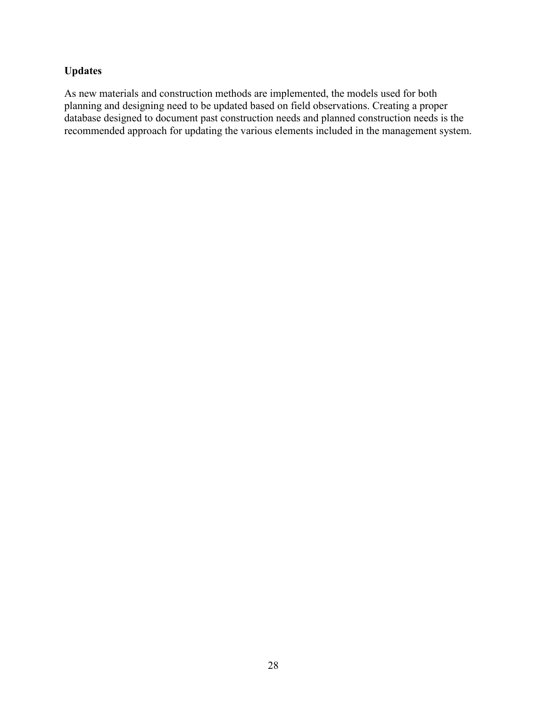# <span id="page-35-0"></span>**Updates**

As new materials and construction methods are implemented, the models used for both planning and designing need to be updated based on field observations. Creating a proper database designed to document past construction needs and planned construction needs is the recommended approach for updating the various elements included in the management system.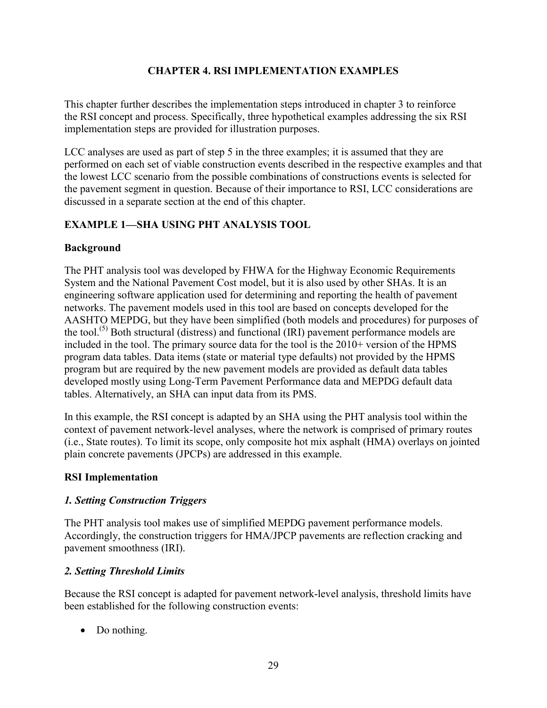## **CHAPTER 4. RSI IMPLEMENTATION EXAMPLES**

<span id="page-36-0"></span>This chapter further describes the implementation steps introduced in chapter 3 to reinforce the RSI concept and process. Specifically, three hypothetical examples addressing the six RSI implementation steps are provided for illustration purposes.

LCC analyses are used as part of step 5 in the three examples; it is assumed that they are performed on each set of viable construction events described in the respective examples and that the lowest LCC scenario from the possible combinations of constructions events is selected for the pavement segment in question. Because of their importance to RSI, LCC considerations are discussed in a separate section at the end of this chapter.

## <span id="page-36-1"></span>**EXAMPLE 1—SHA USING PHT ANALYSIS TOOL**

## <span id="page-36-2"></span>**Background**

The PHT analysis tool was developed by FHWA for the Highway Economic Requirements System and the National Pavement Cost model, but it is also used by other SHAs. It is an engineering software application used for determining and reporting the health of pavement networks. The pavement models used in this tool are based on concepts developed for the AASHTO MEPDG, but they have been simplified (both models and procedures) for purposes of the tool.<sup>(5)</sup> Both structural (distress) and functional (IRI) pavement performance models are included in the tool. The primary source data for the tool is the 2010+ version of the HPMS program data tables. Data items (state or material type defaults) not provided by the HPMS program but are required by the new pavement models are provided as default data tables developed mostly using Long-Term Pavement Performance data and MEPDG default data tables. Alternatively, an SHA can input data from its PMS.

In this example, the RSI concept is adapted by an SHA using the PHT analysis tool within the context of pavement network-level analyses, where the network is comprised of primary routes (i.e., State routes). To limit its scope, only composite hot mix asphalt (HMA) overlays on jointed plain concrete pavements (JPCPs) are addressed in this example.

#### <span id="page-36-3"></span>**RSI Implementation**

#### *1. Setting Construction Triggers*

The PHT analysis tool makes use of simplified MEPDG pavement performance models. Accordingly, the construction triggers for HMA/JPCP pavements are reflection cracking and pavement smoothness (IRI).

# *2. Setting Threshold Limits*

Because the RSI concept is adapted for pavement network-level analysis, threshold limits have been established for the following construction events:

• Do nothing.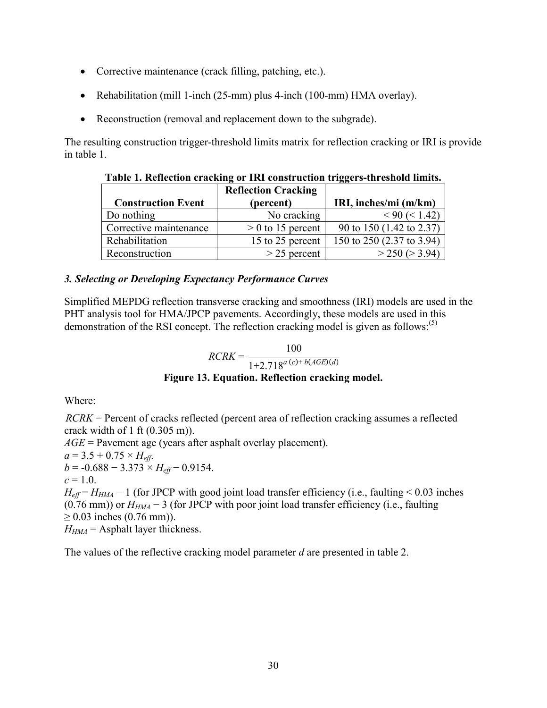- Corrective maintenance (crack filling, patching, etc.).
- Rehabilitation (mill 1-inch (25-mm) plus 4-inch (100-mm) HMA overlay).
- Reconstruction (removal and replacement down to the subgrade).

<span id="page-37-1"></span>The resulting construction trigger-threshold limits matrix for reflection cracking or IRI is provide in [table 1.](#page-37-1)

| <b>Construction Event</b> | <b>Reflection Cracking</b><br>(percent) | IRI, inches/mi (m/km)     |
|---------------------------|-----------------------------------------|---------------------------|
| Do nothing                | No cracking                             | $< 90 \ ( < 1.42)$        |
| Corrective maintenance    | $> 0$ to 15 percent                     | 90 to 150 (1.42 to 2.37)  |
| Rehabilitation            | 15 to 25 percent                        | 150 to 250 (2.37 to 3.94) |
| Reconstruction            | $>$ 25 percent                          | $>$ 250 ( $>$ 3.94)       |

**Table 1. Reflection cracking or IRI construction triggers-threshold limits.**

## *3. Selecting or Developing Expectancy Performance Curves*

Simplified MEPDG reflection transverse cracking and smoothness (IRI) models are used in the PHT analysis tool for HMA/JPCP pavements. Accordingly, these models are used in this demonstration of the RSI concept. The reflection cracking model is given as follows:<sup>(5)</sup>

$$
RCRK = \frac{100}{1 + 2.718^{a (c) + b(AGE)(d)}}
$$

**Figure 13. Equation. Reflection cracking model.**

<span id="page-37-0"></span>Where:

*RCRK* = Percent of cracks reflected (percent area of reflection cracking assumes a reflected crack width of 1 ft (0.305 m)). *AGE* = Pavement age (years after asphalt overlay placement).  $a = 3.5 + 0.75 \times H_{eff}$ .

 $b = -0.688 - 3.373 \times H_{eff} - 0.9154$ .

 $c = 1.0$ .

 $H_{\text{eff}} = H_{\text{HMA}} - 1$  (for JPCP with good joint load transfer efficiency (i.e., faulting < 0.03 inches (0.76 mm)) or *HHMA* − 3 (for JPCP with poor joint load transfer efficiency (i.e., faulting ≥ 0.03 inches (0.76 mm)).  $H_{HMA}$  = Asphalt layer thickness.

<span id="page-37-2"></span>The values of the reflective cracking model parameter *d* are presented in [table 2.](#page-37-2)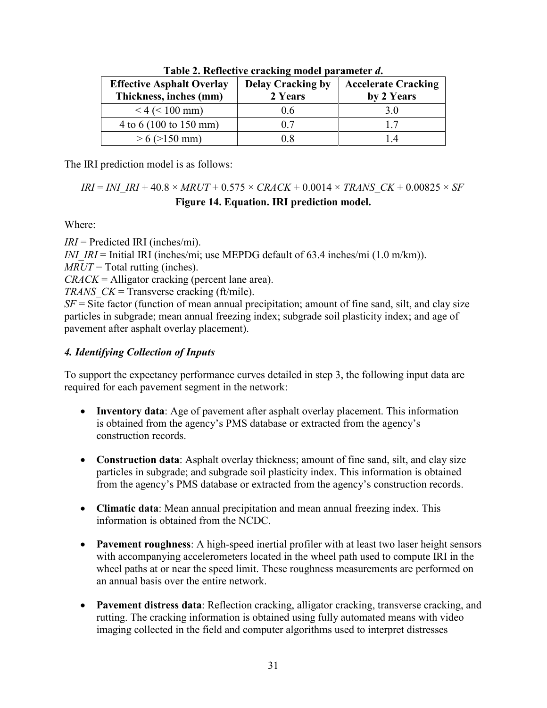<span id="page-38-1"></span>

| <b>Effective Asphalt Overlay</b><br>Thickness, inches (mm) | <b>Delay Cracking by</b><br>2 Years | <b>Accelerate Cracking</b><br>by 2 Years |  |
|------------------------------------------------------------|-------------------------------------|------------------------------------------|--|
| $< 4$ ( $< 100$ mm)                                        | 06                                  | 30                                       |  |
| $4 \text{ to } 6 (100 \text{ to } 150 \text{ mm})$         | 07                                  |                                          |  |
| $> 6$ ( $> 150$ mm)                                        | D 8                                 |                                          |  |

**Table 2. Reflective cracking model parameter** *d***.**

The IRI prediction model is as follows:

<span id="page-38-0"></span>
$$
IRI = INI\_IRI + 40.8 \times MRUT + 0.575 \times CRACK + 0.0014 \times TRANS\_CK + 0.00825 \times SF
$$
  
Figure 14. Equation. **IRI prediction model.**

Where:

*IRI* = Predicted IRI (inches/mi).

*INI\_IRI* = Initial IRI (inches/mi; use MEPDG default of 63.4 inches/mi (1.0 m/km)).

*MRUT* = Total rutting (inches).

*CRACK* = Alligator cracking (percent lane area).

*TRANS\_CK* = Transverse cracking (ft/mile).

 $SF =$  Site factor (function of mean annual precipitation; amount of fine sand, silt, and clay size particles in subgrade; mean annual freezing index; subgrade soil plasticity index; and age of pavement after asphalt overlay placement).

# *4. Identifying Collection of Inputs*

To support the expectancy performance curves detailed in step 3, the following input data are required for each pavement segment in the network:

- **Inventory data**: Age of pavement after asphalt overlay placement. This information is obtained from the agency's PMS database or extracted from the agency's construction records.
- **Construction data**: Asphalt overlay thickness; amount of fine sand, silt, and clay size particles in subgrade; and subgrade soil plasticity index. This information is obtained from the agency's PMS database or extracted from the agency's construction records.
- **Climatic data**: Mean annual precipitation and mean annual freezing index. This information is obtained from the NCDC.
- **Pavement roughness**: A high-speed inertial profiler with at least two laser height sensors with accompanying accelerometers located in the wheel path used to compute IRI in the wheel paths at or near the speed limit. These roughness measurements are performed on an annual basis over the entire network.
- **Pavement distress data**: Reflection cracking, alligator cracking, transverse cracking, and rutting. The cracking information is obtained using fully automated means with video imaging collected in the field and computer algorithms used to interpret distresses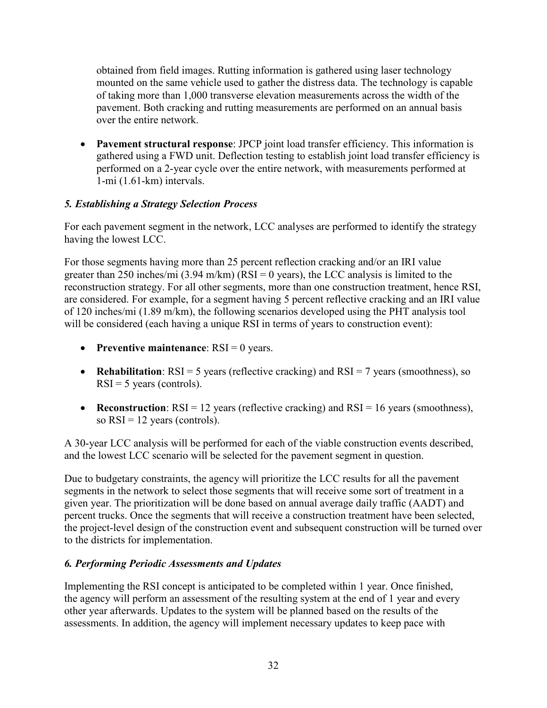obtained from field images. Rutting information is gathered using laser technology mounted on the same vehicle used to gather the distress data. The technology is capable of taking more than 1,000 transverse elevation measurements across the width of the pavement. Both cracking and rutting measurements are performed on an annual basis over the entire network.

• **Pavement structural response**: JPCP joint load transfer efficiency. This information is gathered using a FWD unit. Deflection testing to establish joint load transfer efficiency is performed on a 2-year cycle over the entire network, with measurements performed at 1-mi (1.61-km) intervals.

# *5. Establishing a Strategy Selection Process*

For each pavement segment in the network, LCC analyses are performed to identify the strategy having the lowest LCC.

For those segments having more than 25 percent reflection cracking and/or an IRI value greater than 250 inches/mi  $(3.94 \text{ m/km})$  (RSI = 0 years), the LCC analysis is limited to the reconstruction strategy. For all other segments, more than one construction treatment, hence RSI, are considered. For example, for a segment having 5 percent reflective cracking and an IRI value of 120 inches/mi (1.89 m/km), the following scenarios developed using the PHT analysis tool will be considered (each having a unique RSI in terms of years to construction event):

- **Preventive maintenance**: RSI = 0 years.
- **Rehabilitation**: RSI = 5 years (reflective cracking) and RSI = 7 years (smoothness), so  $RSI = 5$  years (controls).
- **Reconstruction**:  $RSI = 12$  years (reflective cracking) and  $RSI = 16$  years (smoothness), so  $RSI = 12$  years (controls).

A 30-year LCC analysis will be performed for each of the viable construction events described, and the lowest LCC scenario will be selected for the pavement segment in question.

Due to budgetary constraints, the agency will prioritize the LCC results for all the pavement segments in the network to select those segments that will receive some sort of treatment in a given year. The prioritization will be done based on annual average daily traffic (AADT) and percent trucks. Once the segments that will receive a construction treatment have been selected, the project-level design of the construction event and subsequent construction will be turned over to the districts for implementation.

#### *6. Performing Periodic Assessments and Updates*

Implementing the RSI concept is anticipated to be completed within 1 year. Once finished, the agency will perform an assessment of the resulting system at the end of 1 year and every other year afterwards. Updates to the system will be planned based on the results of the assessments. In addition, the agency will implement necessary updates to keep pace with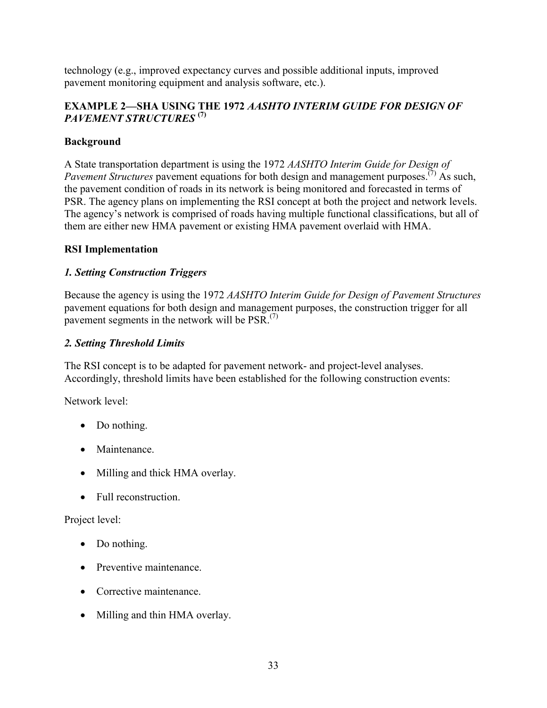technology (e.g., improved expectancy curves and possible additional inputs, improved pavement monitoring equipment and analysis software, etc.).

# <span id="page-40-0"></span>**EXAMPLE 2—SHA USING THE 1972** *AASHTO INTERIM GUIDE FOR DESIGN OF PAVEMENT STRUCTURES* **(7)**

# <span id="page-40-1"></span>**Background**

A State transportation department is using the 1972 *AASHTO Interim Guide for Design of Pavement Structures* pavement equations for both design and management purposes.<sup>(7)</sup> As such, the pavement condition of roads in its network is being monitored and forecasted in terms of PSR. The agency plans on implementing the RSI concept at both the project and network levels. The agency's network is comprised of roads having multiple functional classifications, but all of them are either new HMA pavement or existing HMA pavement overlaid with HMA.

# <span id="page-40-2"></span>**RSI Implementation**

# *1. Setting Construction Triggers*

Because the agency is using the 1972 *AASHTO Interim Guide for Design of Pavement Structures* pavement equations for both design and management purposes, the construction trigger for all pavement segments in the network will be  $PSR$ .<sup>(7)</sup>

# *2. Setting Threshold Limits*

The RSI concept is to be adapted for pavement network- and project-level analyses. Accordingly, threshold limits have been established for the following construction events:

Network level:

- Do nothing.
- Maintenance
- Milling and thick HMA overlay.
- Full reconstruction.

Project level:

- Do nothing.
- Preventive maintenance.
- Corrective maintenance.
- Milling and thin HMA overlay.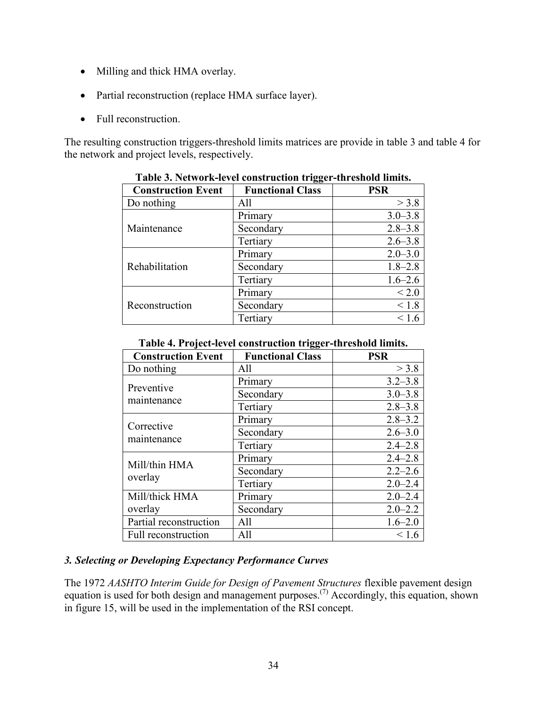- Milling and thick HMA overlay.
- Partial reconstruction (replace HMA surface layer).
- Full reconstruction.

<span id="page-41-0"></span>The resulting construction triggers-threshold limits matrices are provide in [table 3](#page-41-0) and table 4 for the network and project levels, respectively.

|                           | 88.                     |              |
|---------------------------|-------------------------|--------------|
| <b>Construction Event</b> | <b>Functional Class</b> | <b>PSR</b>   |
| Do nothing                | All                     | $>$ 3.8      |
|                           | Primary                 | $3.0 - 3.8$  |
| Maintenance               | Secondary               | $2.8 - 3.8$  |
|                           | Tertiary                | $2.6 - 3.8$  |
|                           | Primary                 | $2.0 - 3.0$  |
| Rehabilitation            | Secondary               | $1.8 - 2.8$  |
|                           | Tertiary                | $1.6 - 2.6$  |
|                           | Primary                 | ${}_{< 2.0}$ |
| Reconstruction            | Secondary               | < 1.8        |
|                           | Tertiary                |              |

**Table 3. Network-level construction trigger-threshold limits.**

**Table 4. Project-level construction trigger-threshold limits.**

<span id="page-41-1"></span>

| <b>Construction Event</b> | <b>Functional Class</b> | <b>PSR</b>  |
|---------------------------|-------------------------|-------------|
| Do nothing                | All                     | > 3.8       |
| Preventive                | Primary                 | $3.2 - 3.8$ |
| maintenance               | Secondary               | $3.0 - 3.8$ |
|                           | Tertiary                | $2.8 - 3.8$ |
| Corrective                | Primary                 | $2.8 - 3.2$ |
| maintenance               | Secondary               | $2.6 - 3.0$ |
|                           | Tertiary                | $2.4 - 2.8$ |
| Mill/thin HMA             | Primary                 | $2.4 - 2.8$ |
| overlay                   | Secondary               | $2.2 - 2.6$ |
|                           | Tertiary                | $2.0 - 2.4$ |
| Mill/thick HMA            | Primary                 | $2.0 - 2.4$ |
| overlay                   | Secondary               | $2.0 - 2.2$ |
| Partial reconstruction    | All                     | $1.6 - 2.0$ |
| Full reconstruction       | All                     | < 1.6       |

#### *3. Selecting or Developing Expectancy Performance Curves*

The 1972 *AASHTO Interim Guide for Design of Pavement Structures* flexible pavement design equation is used for both design and management purposes.<sup>(7)</sup> Accordingly, this equation, shown in [figure 15,](#page-42-0) will be used in the implementation of the RSI concept.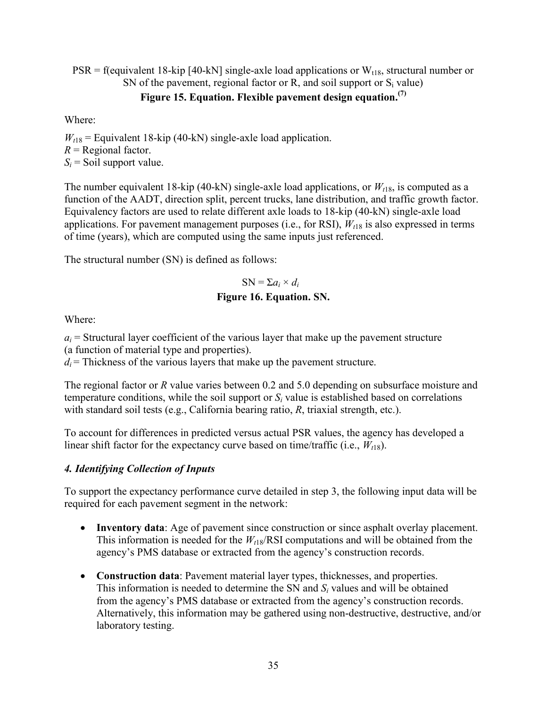**Figure 15. Equation. Flexible pavement design equation. (7)**  $PSR = f$ (equivalent 18-kip [40-kN] single-axle load applications or  $W_{t18}$ , structural number or SN of the pavement, regional factor or  $\overline{R}$ , and soil support or  $S_i$  value)

<span id="page-42-0"></span>Where:

 $W_{t18}$  = Equivalent 18-kip (40-kN) single-axle load application.  $R$  = Regional factor.  $S_i$  = Soil support value.

The number equivalent 18-kip (40-kN) single-axle load applications, or  $W_{t18}$ , is computed as a function of the AADT, direction split, percent trucks, lane distribution, and traffic growth factor. Equivalency factors are used to relate different axle loads to 18-kip (40-kN) single-axle load applications. For pavement management purposes (i.e., for RSI),  $W_{t18}$  is also expressed in terms of time (years), which are computed using the same inputs just referenced.

The structural number (SN) is defined as follows:

$$
SN = \sum a_i \times d_i
$$
  
Figure 16. Equation. SN.

<span id="page-42-1"></span>Where:

 $a_i$  = Structural layer coefficient of the various layer that make up the pavement structure (a function of material type and properties).

 $d_i$  = Thickness of the various layers that make up the pavement structure.

The regional factor or *R* value varies between 0.2 and 5.0 depending on subsurface moisture and temperature conditions, while the soil support or  $S_i$  value is established based on correlations with standard soil tests (e.g., California bearing ratio, *R*, triaxial strength, etc.).

To account for differences in predicted versus actual PSR values, the agency has developed a linear shift factor for the expectancy curve based on time/traffic (i.e.,  $W_{t18}$ ).

#### *4. Identifying Collection of Inputs*

To support the expectancy performance curve detailed in step 3, the following input data will be required for each pavement segment in the network:

- **Inventory data**: Age of pavement since construction or since asphalt overlay placement. This information is needed for the  $W_{t18}/RSI$  computations and will be obtained from the agency's PMS database or extracted from the agency's construction records.
- **Construction data**: Pavement material layer types, thicknesses, and properties. This information is needed to determine the SN and *Si* values and will be obtained from the agency's PMS database or extracted from the agency's construction records. Alternatively, this information may be gathered using non-destructive, destructive, and/or laboratory testing.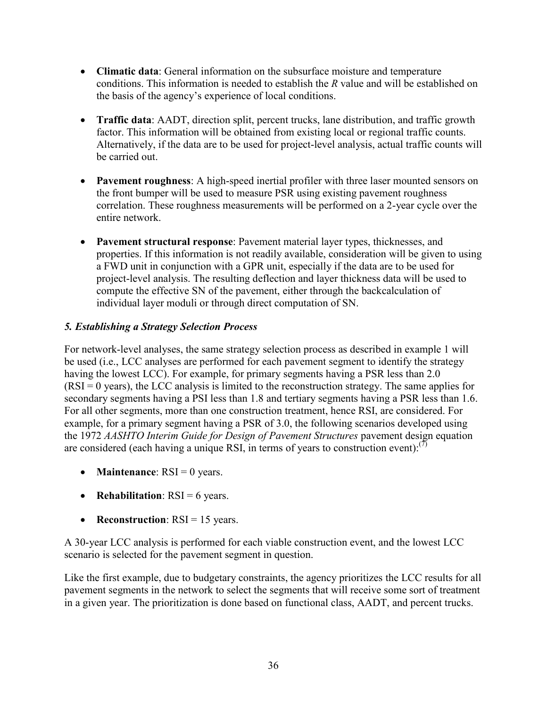- **Climatic data**: General information on the subsurface moisture and temperature conditions. This information is needed to establish the *R* value and will be established on the basis of the agency's experience of local conditions.
- **Traffic data**: AADT, direction split, percent trucks, lane distribution, and traffic growth factor. This information will be obtained from existing local or regional traffic counts. Alternatively, if the data are to be used for project-level analysis, actual traffic counts will be carried out.
- **Pavement roughness**: A high-speed inertial profiler with three laser mounted sensors on the front bumper will be used to measure PSR using existing pavement roughness correlation. These roughness measurements will be performed on a 2-year cycle over the entire network.
- **Pavement structural response**: Pavement material layer types, thicknesses, and properties. If this information is not readily available, consideration will be given to using a FWD unit in conjunction with a GPR unit, especially if the data are to be used for project-level analysis. The resulting deflection and layer thickness data will be used to compute the effective SN of the pavement, either through the backcalculation of individual layer moduli or through direct computation of SN.

## *5. Establishing a Strategy Selection Process*

For network-level analyses, the same strategy selection process as described in example 1 will be used (i.e., LCC analyses are performed for each pavement segment to identify the strategy having the lowest LCC). For example, for primary segments having a PSR less than 2.0  $(RSI = 0$  years), the LCC analysis is limited to the reconstruction strategy. The same applies for secondary segments having a PSI less than 1.8 and tertiary segments having a PSR less than 1.6. For all other segments, more than one construction treatment, hence RSI, are considered. For example, for a primary segment having a PSR of 3.0, the following scenarios developed using the 1972 *AASHTO Interim Guide for Design of Pavement Structures* pavement design equation are considered (each having a unique RSI, in terms of years to construction event): $^{(7)}$ 

- **Maintenance**:  $RSI = 0$  years.
- **Rehabilitation**: RSI = 6 years.
- **Reconstruction**: RSI = 15 years.

A 30-year LCC analysis is performed for each viable construction event, and the lowest LCC scenario is selected for the pavement segment in question.

Like the first example, due to budgetary constraints, the agency prioritizes the LCC results for all pavement segments in the network to select the segments that will receive some sort of treatment in a given year. The prioritization is done based on functional class, AADT, and percent trucks.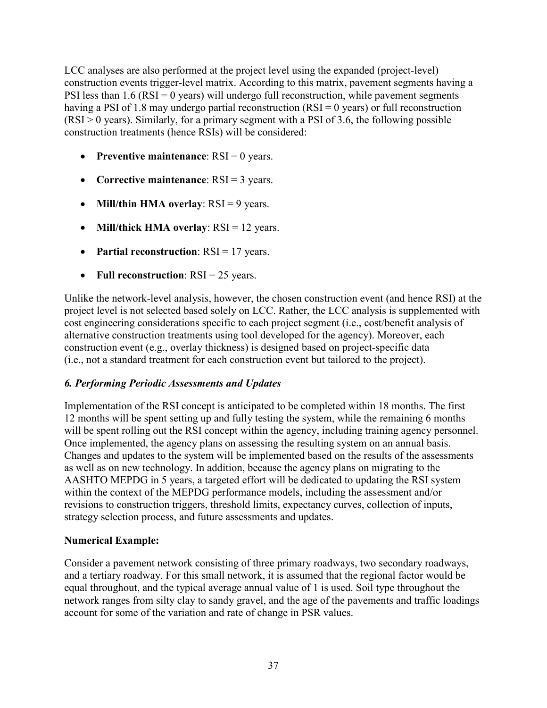LCC analyses are also performed at the project level using the expanded (project-level) construction events trigger-level matrix. According to this matrix, pavement segments having a PSI less than  $1.6$  (RSI = 0 years) will undergo full reconstruction, while pavement segments having a PSI of 1.8 may undergo partial reconstruction (RSI = 0 years) or full reconstruction  $(RSI > 0$  years). Similarly, for a primary segment with a PSI of 3.6, the following possible construction treatments (hence RSIs) will be considered:

- **Preventive maintenance**: RSI = 0 years.
- **Corrective maintenance**: RSI = 3 years.
- **Mill/thin HMA overlay**: RSI = 9 years.
- **Mill/thick HMA overlay**: RSI = 12 years.
- **Partial reconstruction**: RSI = 17 years.
- **Full reconstruction**: RSI = 25 years.

Unlike the network-level analysis, however, the chosen construction event (and hence RSI) at the project level is not selected based solely on LCC. Rather, the LCC analysis is supplemented with cost engineering considerations specific to each project segment (i.e., cost/benefit analysis of alternative construction treatments using tool developed for the agency). Moreover, each construction event (e.g., overlay thickness) is designed based on project-specific data (i.e., not a standard treatment for each construction event but tailored to the project).

#### *6. Performing Periodic Assessments and Updates*

Implementation of the RSI concept is anticipated to be completed within 18 months. The first 12 months will be spent setting up and fully testing the system, while the remaining 6 months will be spent rolling out the RSI concept within the agency, including training agency personnel. Once implemented, the agency plans on assessing the resulting system on an annual basis. Changes and updates to the system will be implemented based on the results of the assessments as well as on new technology. In addition, because the agency plans on migrating to the AASHTO MEPDG in 5 years, a targeted effort will be dedicated to updating the RSI system within the context of the MEPDG performance models, including the assessment and/or revisions to construction triggers, threshold limits, expectancy curves, collection of inputs, strategy selection process, and future assessments and updates.

#### **Numerical Example:**

Consider a pavement network consisting of three primary roadways, two secondary roadways, and a tertiary roadway. For this small network, it is assumed that the regional factor would be equal throughout, and the typical average annual value of 1 is used. Soil type throughout the network ranges from silty clay to sandy gravel, and the age of the pavements and traffic loadings account for some of the variation and rate of change in PSR values.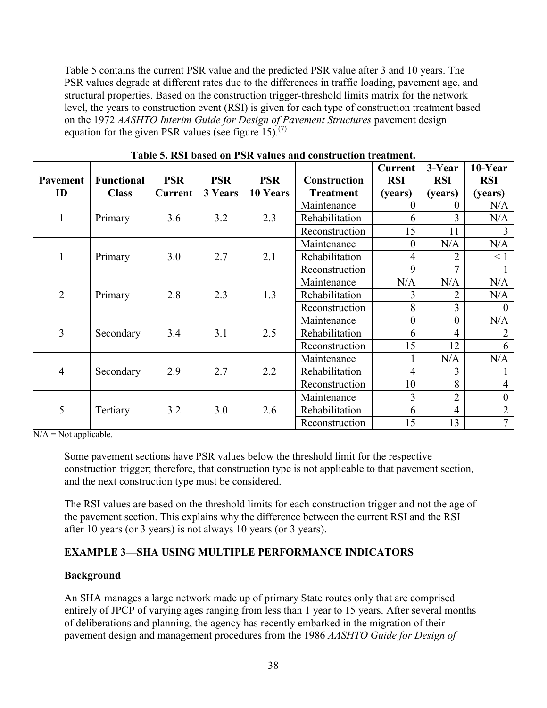[Table 5](#page-45-2) contains the current PSR value and the predicted PSR value after 3 and 10 years. The PSR values degrade at different rates due to the differences in traffic loading, pavement age, and structural properties. Based on the construction trigger-threshold limits matrix for the network level, the years to construction event (RSI) is given for each type of construction treatment based on the 1972 *AASHTO Interim Guide for Design of Pavement Structures* pavement design equation for the given PSR values (see figure  $15$ ).<sup>(7)</sup>

<span id="page-45-2"></span>

|                 |                   |                |            |            |                  | Current        | 3-Year         | 10-Year          |
|-----------------|-------------------|----------------|------------|------------|------------------|----------------|----------------|------------------|
| <b>Pavement</b> | <b>Functional</b> | <b>PSR</b>     | <b>PSR</b> | <b>PSR</b> | Construction     | <b>RSI</b>     | <b>RSI</b>     | <b>RSI</b>       |
| ID              | <b>Class</b>      | <b>Current</b> | 3 Years    | 10 Years   | <b>Treatment</b> | (years)        | (years)        | (years)          |
|                 |                   |                |            |            | Maintenance      | 0              | 0              | N/A              |
| $\mathbf{1}$    | Primary           | 3.6            | 3.2        | 2.3        | Rehabilitation   | 6              | 3              | N/A              |
|                 |                   |                |            |            | Reconstruction   | 15             | 11             | $\overline{3}$   |
|                 |                   |                |            |            | Maintenance      | $\theta$       | N/A            | N/A              |
| 1               | Primary           | 3.0            | 2.7        | 2.1        | Rehabilitation   | $\overline{4}$ | 2              | $\leq 1$         |
|                 |                   |                |            |            | Reconstruction   | 9              | 7              |                  |
|                 |                   |                |            |            | Maintenance      | N/A            | N/A            | N/A              |
| $\overline{2}$  | Primary           | 2.8            | 2.3        | 1.3        | Rehabilitation   | 3              | $\overline{2}$ | N/A              |
|                 |                   |                |            |            | Reconstruction   | 8              | 3              | $\overline{0}$   |
|                 |                   |                |            |            | Maintenance      | $\overline{0}$ | $\overline{0}$ | N/A              |
| 3               | Secondary         | 3.4            | 3.1        | 2.5        | Rehabilitation   | 6              | $\overline{4}$ | $\overline{2}$   |
|                 |                   |                |            |            | Reconstruction   | 15             | 12             | 6                |
|                 |                   |                |            |            | Maintenance      |                | N/A            | N/A              |
| $\overline{4}$  | Secondary         | 2.9            | 2.7        | 2.2        | Rehabilitation   | $\overline{4}$ | 3              |                  |
|                 |                   |                |            |            | Reconstruction   | 10             | 8              | $\overline{4}$   |
|                 |                   |                |            |            | Maintenance      | 3              | $\overline{2}$ | $\boldsymbol{0}$ |
| 5               | Tertiary          | 3.2            | 3.0        | 2.6        | Rehabilitation   | 6              | $\overline{4}$ | $\overline{2}$   |
|                 |                   |                |            |            | Reconstruction   | 15             | 13             | $\overline{7}$   |

**Table 5. RSI based on PSR values and construction treatment.**

 $N/A = Not applicable.$ 

Some pavement sections have PSR values below the threshold limit for the respective construction trigger; therefore, that construction type is not applicable to that pavement section, and the next construction type must be considered.

The RSI values are based on the threshold limits for each construction trigger and not the age of the pavement section. This explains why the difference between the current RSI and the RSI after 10 years (or 3 years) is not always 10 years (or 3 years).

# <span id="page-45-0"></span>**EXAMPLE 3—SHA USING MULTIPLE PERFORMANCE INDICATORS**

#### <span id="page-45-1"></span>**Background**

An SHA manages a large network made up of primary State routes only that are comprised entirely of JPCP of varying ages ranging from less than 1 year to 15 years. After several months of deliberations and planning, the agency has recently embarked in the migration of their pavement design and management procedures from the 1986 *AASHTO Guide for Design of*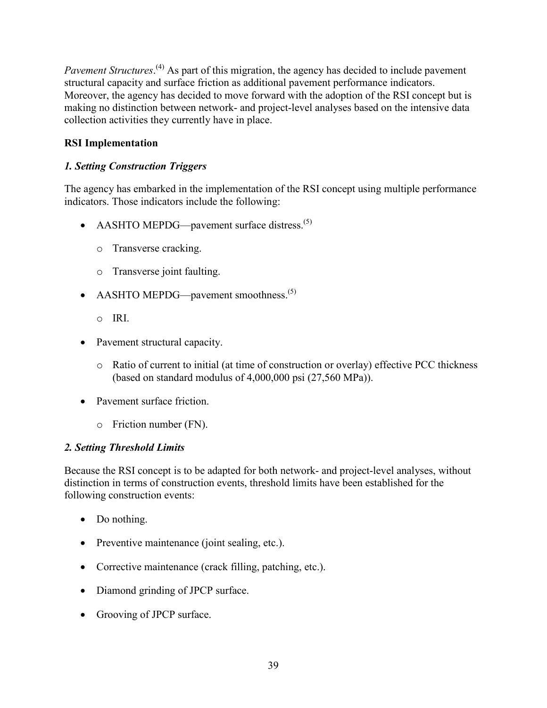Pavement Structures.<sup>(4)</sup> As part of this migration, the agency has decided to include pavement structural capacity and surface friction as additional pavement performance indicators. Moreover, the agency has decided to move forward with the adoption of the RSI concept but is making no distinction between network- and project-level analyses based on the intensive data collection activities they currently have in place.

# <span id="page-46-0"></span>**RSI Implementation**

# *1. Setting Construction Triggers*

The agency has embarked in the implementation of the RSI concept using multiple performance indicators. Those indicators include the following:

- AASHTO MEPDG—pavement surface distress. $(5)$ 
	- o Transverse cracking.
	- o Transverse joint faulting.
- AASHTO MEPDG—pavement smoothness.<sup>(5)</sup>
	- o IRI.
- Pavement structural capacity.
	- o Ratio of current to initial (at time of construction or overlay) effective PCC thickness (based on standard modulus of 4,000,000 psi (27,560 MPa)).
- Pavement surface friction
	- o Friction number (FN).

#### *2. Setting Threshold Limits*

Because the RSI concept is to be adapted for both network- and project-level analyses, without distinction in terms of construction events, threshold limits have been established for the following construction events:

- Do nothing.
- Preventive maintenance (joint sealing, etc.).
- Corrective maintenance (crack filling, patching, etc.).
- Diamond grinding of JPCP surface.
- Grooving of JPCP surface.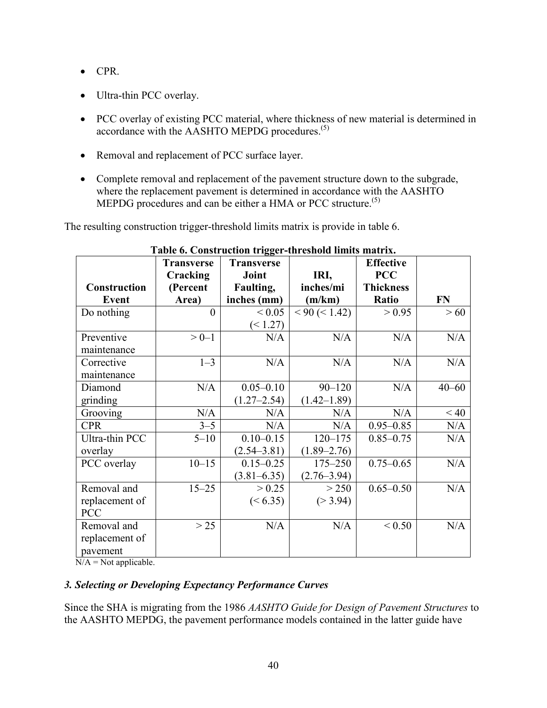- CPR.
- Ultra-thin PCC overlay.
- PCC overlay of existing PCC material, where thickness of new material is determined in accordance with the AASHTO MEPDG procedures.<sup>(5)</sup>
- Removal and replacement of PCC surface layer.
- Complete removal and replacement of the pavement structure down to the subgrade, where the replacement pavement is determined in accordance with the AASHTO MEPDG procedures and can be either a HMA or PCC structure.<sup>(5)</sup>

The resulting construction trigger-threshold limits matrix is provide in [table 6.](#page-47-0)

<span id="page-47-0"></span>

|                     | <b>Transverse</b> | <b>Transverse</b> |                 | <b>Effective</b> |           |
|---------------------|-------------------|-------------------|-----------------|------------------|-----------|
|                     | Cracking          | Joint             | IRI,            | <b>PCC</b>       |           |
| <b>Construction</b> | (Percent          | Faulting,         | inches/mi       | <b>Thickness</b> |           |
| Event               | Area)             | inches (mm)       | (m/km)          | Ratio            | <b>FN</b> |
| Do nothing          | $\Omega$          | ${}_{0.05}$       | < 90 (< 1.42)   | > 0.95           | >60       |
|                     |                   | (< 1.27)          |                 |                  |           |
| Preventive          | $>0-1$            | N/A               | N/A             | N/A              | N/A       |
| maintenance         |                   |                   |                 |                  |           |
| Corrective          | $1 - 3$           | N/A               | N/A             | N/A              | N/A       |
| maintenance         |                   |                   |                 |                  |           |
| Diamond             | N/A               | $0.05 - 0.10$     | $90 - 120$      | N/A              | $40 - 60$ |
| grinding            |                   | $(1.27 - 2.54)$   | $(1.42 - 1.89)$ |                  |           |
| Grooving            | N/A               | N/A               | N/A             | N/A              | < 40      |
| <b>CPR</b>          | $3 - 5$           | N/A               | N/A             | $0.95 - 0.85$    | N/A       |
| Ultra-thin PCC      | $5 - 10$          | $0.10 - 0.15$     | $120 - 175$     | $0.85 - 0.75$    | N/A       |
| overlay             |                   | $(2.54 - 3.81)$   | $(1.89 - 2.76)$ |                  |           |
| PCC overlay         | $10 - 15$         | $0.15 - 0.25$     | $175 - 250$     | $0.75 - 0.65$    | N/A       |
|                     |                   | $(3.81 - 6.35)$   | $(2.76 - 3.94)$ |                  |           |
| Removal and         | $15 - 25$         | > 0.25            | > 250           | $0.65 - 0.50$    | N/A       |
| replacement of      |                   | (< 6.35)          | (>3.94)         |                  |           |
| PCC                 |                   |                   |                 |                  |           |
| Removal and         | >25               | N/A               | N/A             | ${}_{0.50}$      | N/A       |
| replacement of      |                   |                   |                 |                  |           |
| pavement            |                   |                   |                 |                  |           |

#### **Table 6. Construction trigger-threshold limits matrix.**

 $N/A = Not applicable.$ 

#### *3. Selecting or Developing Expectancy Performance Curves*

Since the SHA is migrating from the 1986 *AASHTO Guide for Design of Pavement Structures* to the AASHTO MEPDG, the pavement performance models contained in the latter guide have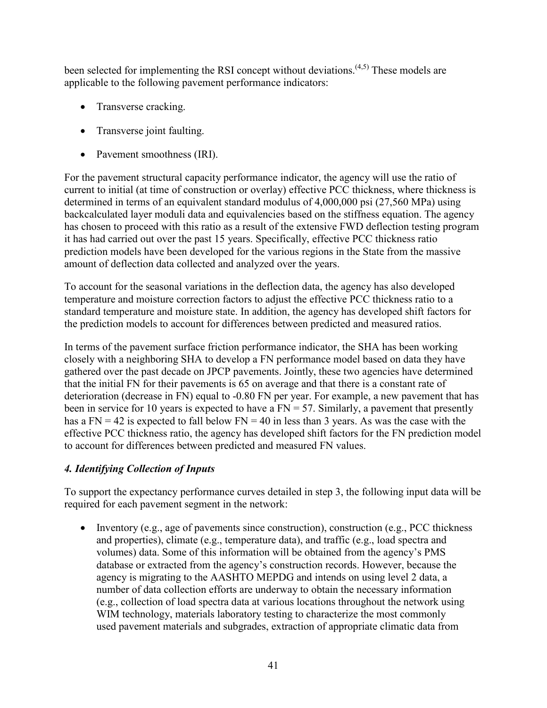been selected for implementing the RSI concept without deviations.<sup> $(4,5)$ </sup> These models are applicable to the following pavement performance indicators:

- Transverse cracking.
- Transverse joint faulting.
- Pavement smoothness (IRI).

For the pavement structural capacity performance indicator, the agency will use the ratio of current to initial (at time of construction or overlay) effective PCC thickness, where thickness is determined in terms of an equivalent standard modulus of 4,000,000 psi (27,560 MPa) using backcalculated layer moduli data and equivalencies based on the stiffness equation. The agency has chosen to proceed with this ratio as a result of the extensive FWD deflection testing program it has had carried out over the past 15 years. Specifically, effective PCC thickness ratio prediction models have been developed for the various regions in the State from the massive amount of deflection data collected and analyzed over the years.

To account for the seasonal variations in the deflection data, the agency has also developed temperature and moisture correction factors to adjust the effective PCC thickness ratio to a standard temperature and moisture state. In addition, the agency has developed shift factors for the prediction models to account for differences between predicted and measured ratios.

In terms of the pavement surface friction performance indicator, the SHA has been working closely with a neighboring SHA to develop a FN performance model based on data they have gathered over the past decade on JPCP pavements. Jointly, these two agencies have determined that the initial FN for their pavements is 65 on average and that there is a constant rate of deterioration (decrease in FN) equal to -0.80 FN per year. For example, a new pavement that has been in service for 10 years is expected to have a  $FN = 57$ . Similarly, a pavement that presently has a FN = 42 is expected to fall below FN = 40 in less than 3 years. As was the case with the effective PCC thickness ratio, the agency has developed shift factors for the FN prediction model to account for differences between predicted and measured FN values.

# *4. Identifying Collection of Inputs*

To support the expectancy performance curves detailed in step 3, the following input data will be required for each pavement segment in the network:

• Inventory (e.g., age of pavements since construction), construction (e.g., PCC thickness and properties), climate (e.g., temperature data), and traffic (e.g., load spectra and volumes) data. Some of this information will be obtained from the agency's PMS database or extracted from the agency's construction records. However, because the agency is migrating to the AASHTO MEPDG and intends on using level 2 data, a number of data collection efforts are underway to obtain the necessary information (e.g., collection of load spectra data at various locations throughout the network using WIM technology, materials laboratory testing to characterize the most commonly used pavement materials and subgrades, extraction of appropriate climatic data from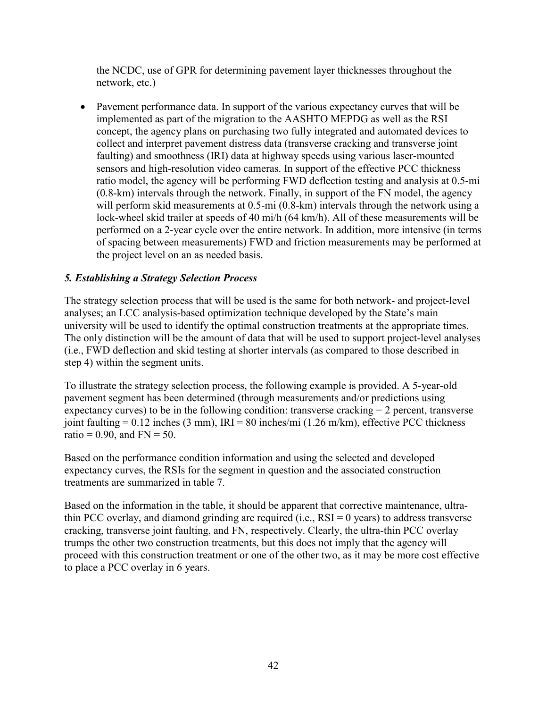the NCDC, use of GPR for determining pavement layer thicknesses throughout the network, etc.)

• Pavement performance data. In support of the various expectancy curves that will be implemented as part of the migration to the AASHTO MEPDG as well as the RSI concept, the agency plans on purchasing two fully integrated and automated devices to collect and interpret pavement distress data (transverse cracking and transverse joint faulting) and smoothness (IRI) data at highway speeds using various laser-mounted sensors and high-resolution video cameras. In support of the effective PCC thickness ratio model, the agency will be performing FWD deflection testing and analysis at 0.5-mi (0.8-km) intervals through the network. Finally, in support of the FN model, the agency will perform skid measurements at 0.5-mi (0.8-km) intervals through the network using a lock-wheel skid trailer at speeds of 40 mi/h (64 km/h). All of these measurements will be performed on a 2-year cycle over the entire network. In addition, more intensive (in terms of spacing between measurements) FWD and friction measurements may be performed at the project level on an as needed basis.

# *5. Establishing a Strategy Selection Process*

The strategy selection process that will be used is the same for both network- and project-level analyses; an LCC analysis-based optimization technique developed by the State's main university will be used to identify the optimal construction treatments at the appropriate times. The only distinction will be the amount of data that will be used to support project-level analyses (i.e., FWD deflection and skid testing at shorter intervals (as compared to those described in step 4) within the segment units.

To illustrate the strategy selection process, the following example is provided. A 5-year-old pavement segment has been determined (through measurements and/or predictions using expectancy curves) to be in the following condition: transverse cracking = 2 percent, transverse joint faulting =  $0.12$  inches (3 mm), IRI = 80 inches/mi (1.26 m/km), effective PCC thickness ratio =  $0.90$ , and FN =  $50$ .

Based on the performance condition information and using the selected and developed expectancy curves, the RSIs for the segment in question and the associated construction treatments are summarized in [table 7.](#page-49-0)

<span id="page-49-0"></span>Based on the information in the table, it should be apparent that corrective maintenance, ultrathin PCC overlay, and diamond grinding are required (i.e.,  $RSI = 0$  years) to address transverse cracking, transverse joint faulting, and FN, respectively. Clearly, the ultra-thin PCC overlay trumps the other two construction treatments, but this does not imply that the agency will proceed with this construction treatment or one of the other two, as it may be more cost effective to place a PCC overlay in 6 years.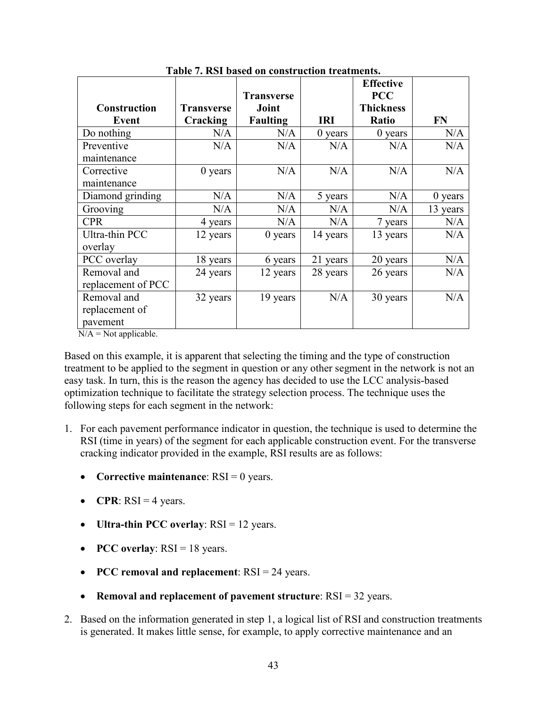<span id="page-50-0"></span>

|                     |                   |                            |            | <b>Effective</b>               |           |
|---------------------|-------------------|----------------------------|------------|--------------------------------|-----------|
| <b>Construction</b> | <b>Transverse</b> | <b>Transverse</b><br>Joint |            | <b>PCC</b><br><b>Thickness</b> |           |
| <b>Event</b>        | Cracking          | <b>Faulting</b>            | <b>IRI</b> | Ratio                          | <b>FN</b> |
| Do nothing          | N/A               | N/A                        | $0$ years  | $0$ years                      | N/A       |
| Preventive          | N/A               | N/A                        | N/A        | N/A                            | N/A       |
| maintenance         |                   |                            |            |                                |           |
| Corrective          | $0$ years         | N/A                        | N/A        | N/A                            | N/A       |
| maintenance         |                   |                            |            |                                |           |
| Diamond grinding    | N/A               | N/A                        | 5 years    | N/A                            | $0$ years |
| Grooving            | N/A               | N/A                        | N/A        | N/A                            | 13 years  |
| <b>CPR</b>          | 4 years           | N/A                        | N/A        | 7 years                        | N/A       |
| Ultra-thin PCC      | 12 years          | $0$ years                  | 14 years   | 13 years                       | N/A       |
| overlay             |                   |                            |            |                                |           |
| PCC overlay         | 18 years          | 6 years                    | 21 years   | 20 years                       | N/A       |
| Removal and         | 24 years          | 12 years                   | 28 years   | 26 years                       | N/A       |
| replacement of PCC  |                   |                            |            |                                |           |
| Removal and         | 32 years          | 19 years                   | N/A        | 30 years                       | N/A       |
| replacement of      |                   |                            |            |                                |           |
| pavement            |                   |                            |            |                                |           |

**Table 7. RSI based on construction treatments.**

 $N/A = Not applicable.$ 

Based on this example, it is apparent that selecting the timing and the type of construction treatment to be applied to the segment in question or any other segment in the network is not an easy task. In turn, this is the reason the agency has decided to use the LCC analysis-based optimization technique to facilitate the strategy selection process. The technique uses the following steps for each segment in the network:

- 1. For each pavement performance indicator in question, the technique is used to determine the RSI (time in years) of the segment for each applicable construction event. For the transverse cracking indicator provided in the example, RSI results are as follows:
	- **Corrective maintenance**: RSI = 0 years.
	- **CPR**:  $RSI = 4$  years.
	- **Ultra-thin PCC overlay**: RSI = 12 years.
	- **PCC overlay**: RSI = 18 years.
	- **PCC removal and replacement**: RSI = 24 years.
	- **Removal and replacement of pavement structure**: RSI = 32 years.
- 2. Based on the information generated in step 1, a logical list of RSI and construction treatments is generated. It makes little sense, for example, to apply corrective maintenance and an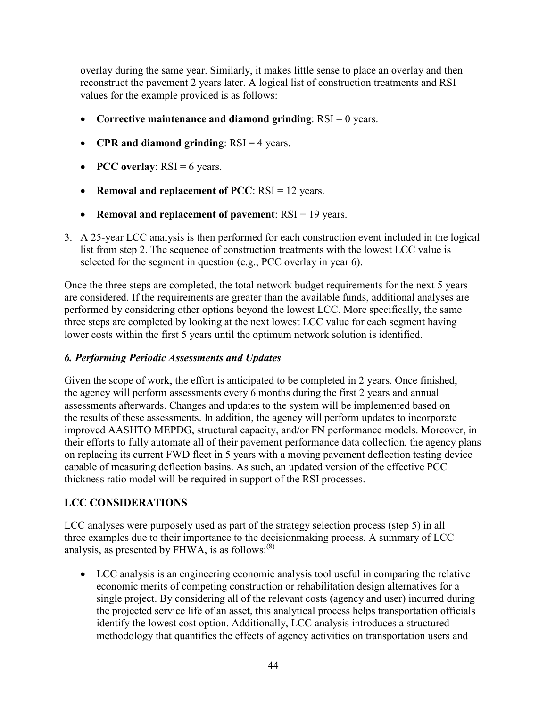overlay during the same year. Similarly, it makes little sense to place an overlay and then reconstruct the pavement 2 years later. A logical list of construction treatments and RSI values for the example provided is as follows:

- **Corrective maintenance and diamond grinding**: RSI = 0 years.
- **CPR and diamond grinding**: RSI = 4 years.
- **PCC** overlay:  $RSI = 6$  years.
- **Removal and replacement of PCC**: RSI = 12 years.
- **Removal and replacement of pavement**: RSI = 19 years.
- 3. A 25-year LCC analysis is then performed for each construction event included in the logical list from step 2. The sequence of construction treatments with the lowest LCC value is selected for the segment in question (e.g., PCC overlay in year 6).

Once the three steps are completed, the total network budget requirements for the next 5 years are considered. If the requirements are greater than the available funds, additional analyses are performed by considering other options beyond the lowest LCC. More specifically, the same three steps are completed by looking at the next lowest LCC value for each segment having lower costs within the first 5 years until the optimum network solution is identified.

#### *6. Performing Periodic Assessments and Updates*

Given the scope of work, the effort is anticipated to be completed in 2 years. Once finished, the agency will perform assessments every 6 months during the first 2 years and annual assessments afterwards. Changes and updates to the system will be implemented based on the results of these assessments. In addition, the agency will perform updates to incorporate improved AASHTO MEPDG, structural capacity, and/or FN performance models. Moreover, in their efforts to fully automate all of their pavement performance data collection, the agency plans on replacing its current FWD fleet in 5 years with a moving pavement deflection testing device capable of measuring deflection basins. As such, an updated version of the effective PCC thickness ratio model will be required in support of the RSI processes.

#### <span id="page-51-0"></span>**LCC CONSIDERATIONS**

LCC analyses were purposely used as part of the strategy selection process (step 5) in all three examples due to their importance to the decisionmaking process. A summary of LCC analysis, as presented by FHWA, is as follows: $^{(8)}$ 

• LCC analysis is an engineering economic analysis tool useful in comparing the relative economic merits of competing construction or rehabilitation design alternatives for a single project. By considering all of the relevant costs (agency and user) incurred during the projected service life of an asset, this analytical process helps transportation officials identify the lowest cost option. Additionally, LCC analysis introduces a structured methodology that quantifies the effects of agency activities on transportation users and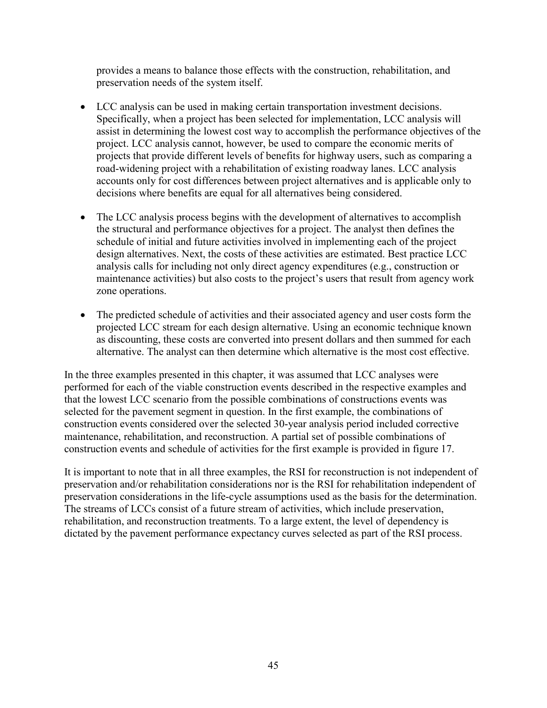provides a means to balance those effects with the construction, rehabilitation, and preservation needs of the system itself.

- LCC analysis can be used in making certain transportation investment decisions. Specifically, when a project has been selected for implementation, LCC analysis will assist in determining the lowest cost way to accomplish the performance objectives of the project. LCC analysis cannot, however, be used to compare the economic merits of projects that provide different levels of benefits for highway users, such as comparing a road-widening project with a rehabilitation of existing roadway lanes. LCC analysis accounts only for cost differences between project alternatives and is applicable only to decisions where benefits are equal for all alternatives being considered.
- The LCC analysis process begins with the development of alternatives to accomplish the structural and performance objectives for a project. The analyst then defines the schedule of initial and future activities involved in implementing each of the project design alternatives. Next, the costs of these activities are estimated. Best practice LCC analysis calls for including not only direct agency expenditures (e.g., construction or maintenance activities) but also costs to the project's users that result from agency work zone operations.
- The predicted schedule of activities and their associated agency and user costs form the projected LCC stream for each design alternative. Using an economic technique known as discounting, these costs are converted into present dollars and then summed for each alternative. The analyst can then determine which alternative is the most cost effective.

In the three examples presented in this chapter, it was assumed that LCC analyses were performed for each of the viable construction events described in the respective examples and that the lowest LCC scenario from the possible combinations of constructions events was selected for the pavement segment in question. In the first example, the combinations of construction events considered over the selected 30-year analysis period included corrective maintenance, rehabilitation, and reconstruction. A partial set of possible combinations of construction events and schedule of activities for the first example is provided in [figure 17.](#page-53-0)

It is important to note that in all three examples, the RSI for reconstruction is not independent of preservation and/or rehabilitation considerations nor is the RSI for rehabilitation independent of preservation considerations in the life-cycle assumptions used as the basis for the determination. The streams of LCCs consist of a future stream of activities, which include preservation, rehabilitation, and reconstruction treatments. To a large extent, the level of dependency is dictated by the pavement performance expectancy curves selected as part of the RSI process.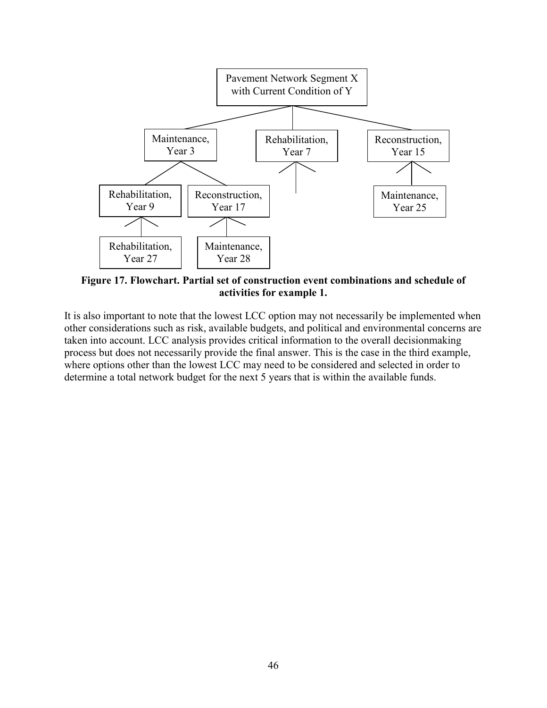

<span id="page-53-0"></span>**Figure 17. Flowchart. Partial set of construction event combinations and schedule of activities for example 1.**

It is also important to note that the lowest LCC option may not necessarily be implemented when other considerations such as risk, available budgets, and political and environmental concerns are taken into account. LCC analysis provides critical information to the overall decisionmaking process but does not necessarily provide the final answer. This is the case in the third example, where options other than the lowest LCC may need to be considered and selected in order to determine a total network budget for the next 5 years that is within the available funds.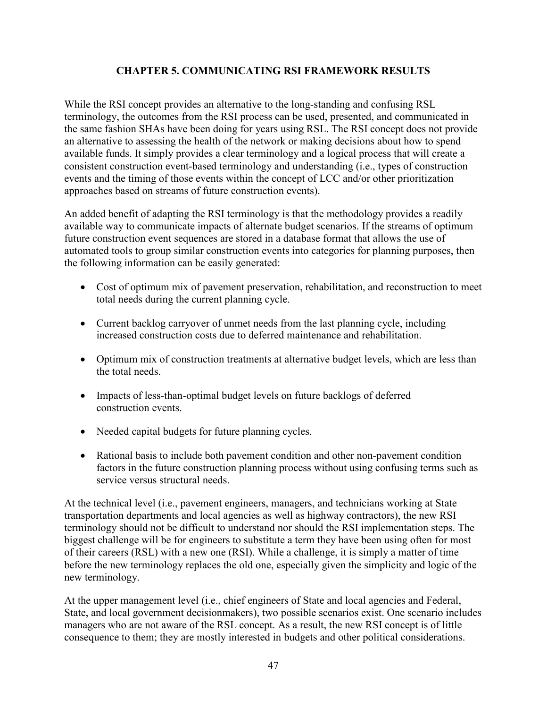## **CHAPTER 5. COMMUNICATING RSI FRAMEWORK RESULTS**

<span id="page-54-0"></span>While the RSI concept provides an alternative to the long-standing and confusing RSL terminology, the outcomes from the RSI process can be used, presented, and communicated in the same fashion SHAs have been doing for years using RSL. The RSI concept does not provide an alternative to assessing the health of the network or making decisions about how to spend available funds. It simply provides a clear terminology and a logical process that will create a consistent construction event-based terminology and understanding (i.e., types of construction events and the timing of those events within the concept of LCC and/or other prioritization approaches based on streams of future construction events).

An added benefit of adapting the RSI terminology is that the methodology provides a readily available way to communicate impacts of alternate budget scenarios. If the streams of optimum future construction event sequences are stored in a database format that allows the use of automated tools to group similar construction events into categories for planning purposes, then the following information can be easily generated:

- Cost of optimum mix of pavement preservation, rehabilitation, and reconstruction to meet total needs during the current planning cycle.
- Current backlog carryover of unmet needs from the last planning cycle, including increased construction costs due to deferred maintenance and rehabilitation.
- Optimum mix of construction treatments at alternative budget levels, which are less than the total needs.
- Impacts of less-than-optimal budget levels on future backlogs of deferred construction events.
- Needed capital budgets for future planning cycles.
- Rational basis to include both pavement condition and other non-pavement condition factors in the future construction planning process without using confusing terms such as service versus structural needs.

At the technical level (i.e., pavement engineers, managers, and technicians working at State transportation departments and local agencies as well as highway contractors), the new RSI terminology should not be difficult to understand nor should the RSI implementation steps. The biggest challenge will be for engineers to substitute a term they have been using often for most of their careers (RSL) with a new one (RSI). While a challenge, it is simply a matter of time before the new terminology replaces the old one, especially given the simplicity and logic of the new terminology.

At the upper management level (i.e., chief engineers of State and local agencies and Federal, State, and local government decisionmakers), two possible scenarios exist. One scenario includes managers who are not aware of the RSL concept. As a result, the new RSI concept is of little consequence to them; they are mostly interested in budgets and other political considerations.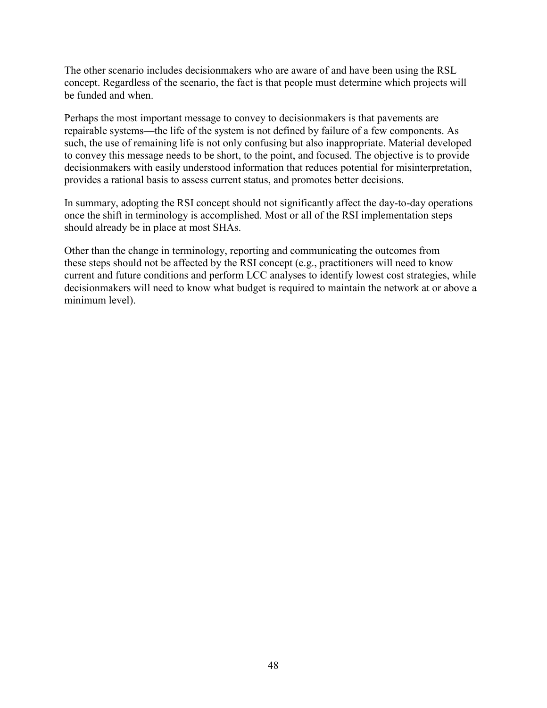The other scenario includes decisionmakers who are aware of and have been using the RSL concept. Regardless of the scenario, the fact is that people must determine which projects will be funded and when.

Perhaps the most important message to convey to decisionmakers is that pavements are repairable systems—the life of the system is not defined by failure of a few components. As such, the use of remaining life is not only confusing but also inappropriate. Material developed to convey this message needs to be short, to the point, and focused. The objective is to provide decisionmakers with easily understood information that reduces potential for misinterpretation, provides a rational basis to assess current status, and promotes better decisions.

In summary, adopting the RSI concept should not significantly affect the day-to-day operations once the shift in terminology is accomplished. Most or all of the RSI implementation steps should already be in place at most SHAs.

Other than the change in terminology, reporting and communicating the outcomes from these steps should not be affected by the RSI concept (e.g., practitioners will need to know current and future conditions and perform LCC analyses to identify lowest cost strategies, while decisionmakers will need to know what budget is required to maintain the network at or above a minimum level).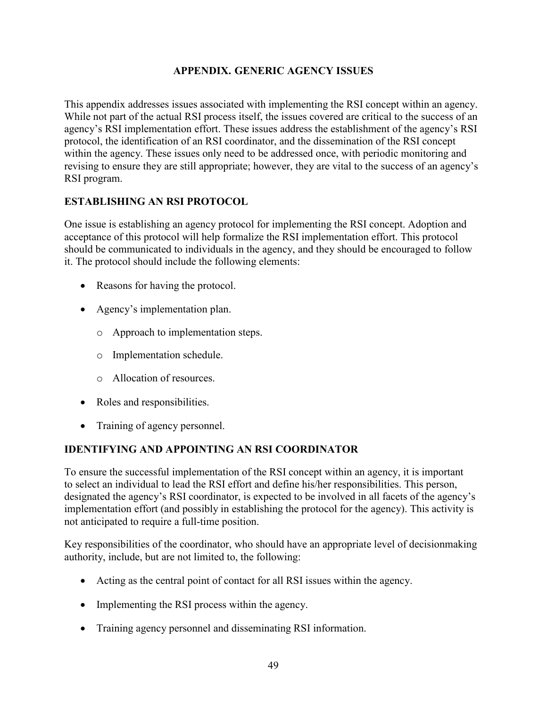### **APPENDIX. GENERIC AGENCY ISSUES**

<span id="page-56-0"></span>This appendix addresses issues associated with implementing the RSI concept within an agency. While not part of the actual RSI process itself, the issues covered are critical to the success of an agency's RSI implementation effort. These issues address the establishment of the agency's RSI protocol, the identification of an RSI coordinator, and the dissemination of the RSI concept within the agency. These issues only need to be addressed once, with periodic monitoring and revising to ensure they are still appropriate; however, they are vital to the success of an agency's RSI program.

## <span id="page-56-1"></span>**ESTABLISHING AN RSI PROTOCOL**

One issue is establishing an agency protocol for implementing the RSI concept. Adoption and acceptance of this protocol will help formalize the RSI implementation effort. This protocol should be communicated to individuals in the agency, and they should be encouraged to follow it. The protocol should include the following elements:

- Reasons for having the protocol.
- Agency's implementation plan.
	- o Approach to implementation steps.
	- o Implementation schedule.
	- o Allocation of resources.
- Roles and responsibilities.
- Training of agency personnel.

# <span id="page-56-2"></span>**IDENTIFYING AND APPOINTING AN RSI COORDINATOR**

To ensure the successful implementation of the RSI concept within an agency, it is important to select an individual to lead the RSI effort and define his/her responsibilities. This person, designated the agency's RSI coordinator, is expected to be involved in all facets of the agency's implementation effort (and possibly in establishing the protocol for the agency). This activity is not anticipated to require a full-time position.

Key responsibilities of the coordinator, who should have an appropriate level of decisionmaking authority, include, but are not limited to, the following:

- Acting as the central point of contact for all RSI issues within the agency.
- Implementing the RSI process within the agency.
- Training agency personnel and disseminating RSI information.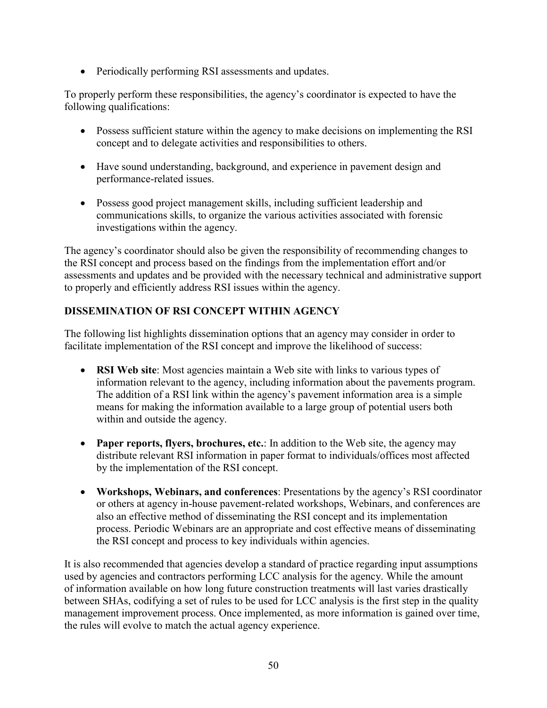• Periodically performing RSI assessments and updates.

To properly perform these responsibilities, the agency's coordinator is expected to have the following qualifications:

- Possess sufficient stature within the agency to make decisions on implementing the RSI concept and to delegate activities and responsibilities to others.
- Have sound understanding, background, and experience in pavement design and performance-related issues.
- Possess good project management skills, including sufficient leadership and communications skills, to organize the various activities associated with forensic investigations within the agency.

The agency's coordinator should also be given the responsibility of recommending changes to the RSI concept and process based on the findings from the implementation effort and/or assessments and updates and be provided with the necessary technical and administrative support to properly and efficiently address RSI issues within the agency.

# <span id="page-57-0"></span>**DISSEMINATION OF RSI CONCEPT WITHIN AGENCY**

The following list highlights dissemination options that an agency may consider in order to facilitate implementation of the RSI concept and improve the likelihood of success:

- **RSI Web site**: Most agencies maintain a Web site with links to various types of information relevant to the agency, including information about the pavements program. The addition of a RSI link within the agency's pavement information area is a simple means for making the information available to a large group of potential users both within and outside the agency.
- **Paper reports, flyers, brochures, etc.**: In addition to the Web site, the agency may distribute relevant RSI information in paper format to individuals/offices most affected by the implementation of the RSI concept.
- **Workshops, Webinars, and conferences**: Presentations by the agency's RSI coordinator or others at agency in-house pavement-related workshops, Webinars, and conferences are also an effective method of disseminating the RSI concept and its implementation process. Periodic Webinars are an appropriate and cost effective means of disseminating the RSI concept and process to key individuals within agencies.

It is also recommended that agencies develop a standard of practice regarding input assumptions used by agencies and contractors performing LCC analysis for the agency. While the amount of information available on how long future construction treatments will last varies drastically between SHAs, codifying a set of rules to be used for LCC analysis is the first step in the quality management improvement process. Once implemented, as more information is gained over time, the rules will evolve to match the actual agency experience.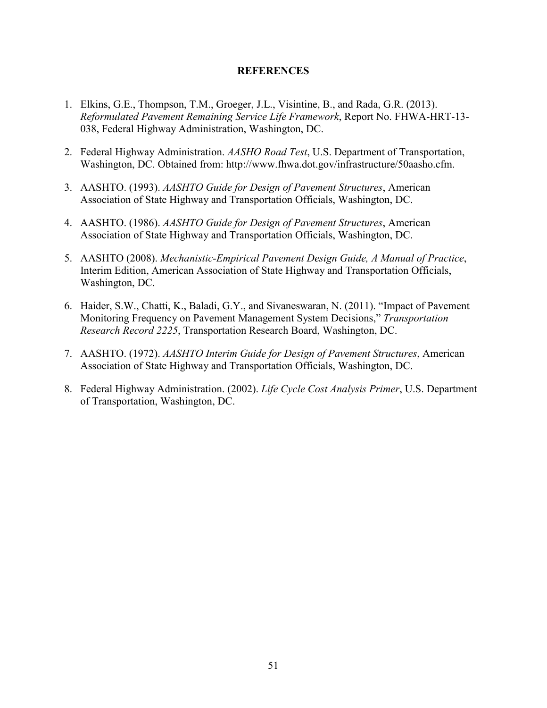#### **REFERENCES**

- <span id="page-58-0"></span>1. Elkins, G.E., Thompson, T.M., Groeger, J.L., Visintine, B., and Rada, G.R. (2013). *Reformulated Pavement Remaining Service Life Framework*, Report No. FHWA-HRT-13- 038, Federal Highway Administration, Washington, DC.
- 2. Federal Highway Administration. *AASHO Road Test*, U.S. Department of Transportation, Washington, DC. Obtained from: [http://www.fhwa.dot.gov/infrastructure/50aasho.cfm.](http://www.fhwa.dot.gov/infrastructure/50aasho.cfm)
- 3. AASHTO. (1993). *AASHTO Guide for Design of Pavement Structures*, American Association of State Highway and Transportation Officials, Washington, DC.
- 4. AASHTO. (1986). *AASHTO Guide for Design of Pavement Structures*, American Association of State Highway and Transportation Officials, Washington, DC.
- 5. AASHTO (2008). *Mechanistic-Empirical Pavement Design Guide, A Manual of Practice*, Interim Edition, American Association of State Highway and Transportation Officials, Washington, DC.
- 6. Haider, S.W., Chatti, K., Baladi, G.Y., and Sivaneswaran, N. (2011). "Impact of Pavement Monitoring Frequency on Pavement Management System Decisions," *Transportation Research Record 2225*, Transportation Research Board, Washington, DC.
- 7. AASHTO. (1972). *AASHTO Interim Guide for Design of Pavement Structures*, American Association of State Highway and Transportation Officials, Washington, DC.
- 8. Federal Highway Administration. (2002). *Life Cycle Cost Analysis Primer*, U.S. Department of Transportation, Washington, DC.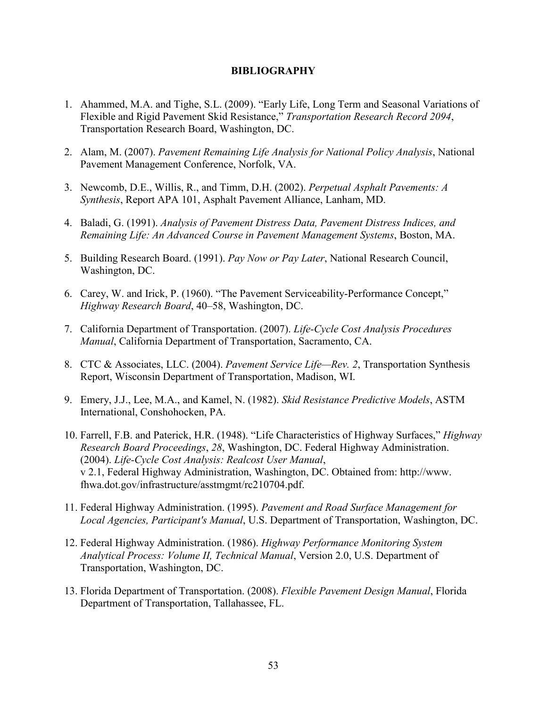#### **BIBLIOGRAPHY**

- <span id="page-60-0"></span>1. Ahammed, M.A. and Tighe, S.L. (2009). "Early Life, Long Term and Seasonal Variations of Flexible and Rigid Pavement Skid Resistance," *Transportation Research Record 2094*, Transportation Research Board, Washington, DC.
- 2. Alam, M. (2007). *Pavement Remaining Life Analysis for National Policy Analysis*, National Pavement Management Conference, Norfolk, VA.
- 3. Newcomb, D.E., Willis, R., and Timm, D.H. (2002). *Perpetual Asphalt Pavements: A Synthesis*, Report APA 101, Asphalt Pavement Alliance, Lanham, MD.
- 4. Baladi, G. (1991). *Analysis of Pavement Distress Data, Pavement Distress Indices, and Remaining Life: An Advanced Course in Pavement Management Systems*, Boston, MA.
- 5. Building Research Board. (1991). *Pay Now or Pay Later*, National Research Council, Washington, DC.
- 6. Carey, W. and Irick, P. (1960). "The Pavement Serviceability-Performance Concept," *Highway Research Board*, 40–58, Washington, DC.
- 7. California Department of Transportation. (2007). *Life-Cycle Cost Analysis Procedures Manual*, California Department of Transportation, Sacramento, CA.
- 8. CTC & Associates, LLC. (2004). *Pavement Service Life—Rev. 2*, Transportation Synthesis Report, Wisconsin Department of Transportation, Madison, WI.
- 9. Emery, J.J., Lee, M.A., and Kamel, N. (1982). *Skid Resistance Predictive Models*, ASTM International, Conshohocken, PA.
- 10. Farrell, F.B. and Paterick, H.R. (1948). "Life Characteristics of Highway Surfaces," *Highway Research Board Proceedings*, *28*, Washington, DC. Federal Highway Administration. (2004). *Life-Cycle Cost Analysis: Realcost User Manual*, v 2.1, Federal Highway Administration, Washington, DC. Obtained from: http://www. fhwa.dot.gov/infrastructure/asstmgmt/rc210704.pdf.
- 11. Federal Highway Administration. (1995). *Pavement and Road Surface Management for Local Agencies, Participant's Manual*, U.S. Department of Transportation, Washington, DC.
- 12. Federal Highway Administration. (1986). *Highway Performance Monitoring System Analytical Process: Volume II, Technical Manual*, Version 2.0, U.S. Department of Transportation, Washington, DC.
- 13. Florida Department of Transportation. (2008). *Flexible Pavement Design Manual*, Florida Department of Transportation, Tallahassee, FL.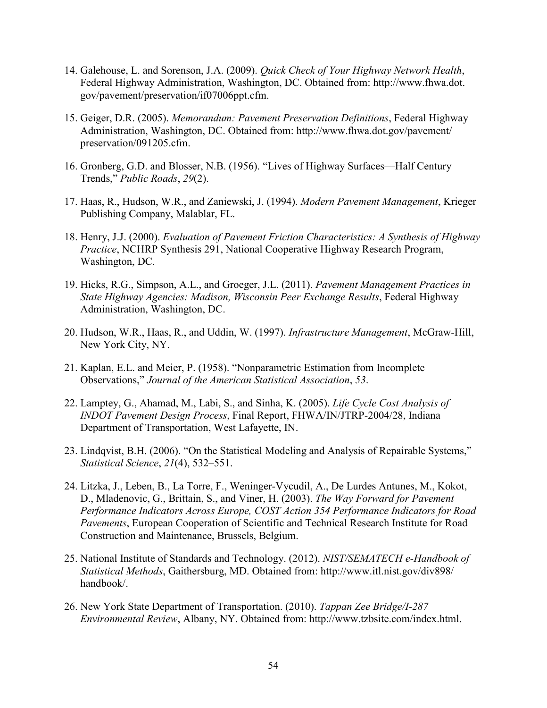- 14. Galehouse, L. and Sorenson, J.A. (2009). *Quick Check of Your Highway Network Health*, Federal Highway Administration, Washington, DC. Obtained from: http://www.fhwa.dot. gov/pavement/preservation/if07006ppt.cfm.
- 15. Geiger, D.R. (2005). *Memorandum: Pavement Preservation Definitions*, Federal Highway Administration, Washington, DC. Obtained from: http://www.fhwa.dot.gov/pavement/ preservation/091205.cfm.
- 16. Gronberg, G.D. and Blosser, N.B. (1956). "Lives of Highway Surfaces—Half Century Trends," *Public Roads*, *29*(2).
- 17. Haas, R., Hudson, W.R., and Zaniewski, J. (1994). *Modern Pavement Management*, Krieger Publishing Company, Malablar, FL.
- 18. Henry, J.J. (2000). *Evaluation of Pavement Friction Characteristics: A Synthesis of Highway Practice*, NCHRP Synthesis 291, National Cooperative Highway Research Program, Washington, DC.
- 19. Hicks, R.G., Simpson, A.L., and Groeger, J.L. (2011). *Pavement Management Practices in State Highway Agencies: Madison, Wisconsin Peer Exchange Results*, Federal Highway Administration, Washington, DC.
- 20. Hudson, W.R., Haas, R., and Uddin, W. (1997). *Infrastructure Management*, McGraw-Hill, New York City, NY.
- 21. Kaplan, E.L. and Meier, P. (1958). "Nonparametric Estimation from Incomplete Observations," *Journal of the American Statistical Association*, *53*.
- 22. Lamptey, G., Ahamad, M., Labi, S., and Sinha, K. (2005). *Life Cycle Cost Analysis of INDOT Pavement Design Process*, Final Report, FHWA/IN/JTRP-2004/28, Indiana Department of Transportation, West Lafayette, IN.
- 23. Lindqvist, B.H. (2006). "On the Statistical Modeling and Analysis of Repairable Systems," *Statistical Science*, *21*(4), 532–551.
- 24. Litzka, J., Leben, B., La Torre, F., Weninger-Vycudil, A., De Lurdes Antunes, M., Kokot, D., Mladenovic, G., Brittain, S., and Viner, H. (2003). *The Way Forward for Pavement Performance Indicators Across Europe, COST Action 354 Performance Indicators for Road Pavements*, European Cooperation of Scientific and Technical Research Institute for Road Construction and Maintenance, Brussels, Belgium.
- 25. National Institute of Standards and Technology. (2012). *NIST/SEMATECH e-Handbook of Statistical Methods*, Gaithersburg, MD. Obtained from: [http://www.itl.nist.gov/div898/](http://www.itl.nist.gov/div898/handbook/) [handbook/.](http://www.itl.nist.gov/div898/handbook/)
- 26. New York State Department of Transportation. (2010). *Tappan Zee Bridge/I-287 Environmental Review*, Albany, NY. Obtained from: http://www.tzbsite.com/index.html.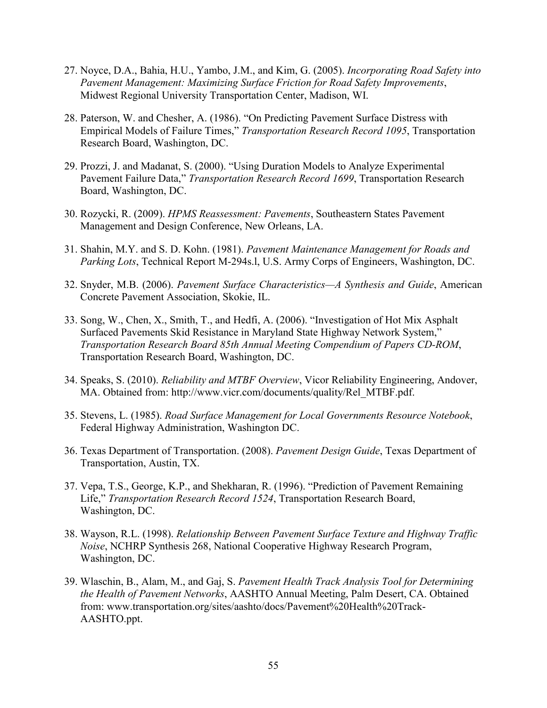- 27. Noyce, D.A., Bahia, H.U., Yambo, J.M., and Kim, G. (2005). *Incorporating Road Safety into Pavement Management: Maximizing Surface Friction for Road Safety Improvements*, Midwest Regional University Transportation Center, Madison, WI.
- 28. Paterson, W. and Chesher, A. (1986). "On Predicting Pavement Surface Distress with Empirical Models of Failure Times," *Transportation Research Record 1095*, Transportation Research Board, Washington, DC.
- 29. Prozzi, J. and Madanat, S. (2000). "Using Duration Models to Analyze Experimental Pavement Failure Data," *Transportation Research Record 1699*, Transportation Research Board, Washington, DC.
- 30. Rozycki, R. (2009). *HPMS Reassessment: Pavements*, Southeastern States Pavement Management and Design Conference, New Orleans, LA.
- 31. Shahin, M.Y. and S. D. Kohn. (1981). *Pavement Maintenance Management for Roads and Parking Lots*, Technical Report M-294s.l, U.S. Army Corps of Engineers, Washington, DC.
- 32. Snyder, M.B. (2006). *Pavement Surface Characteristics—A Synthesis and Guide*, American Concrete Pavement Association, Skokie, IL.
- 33. Song, W., Chen, X., Smith, T., and Hedfi, A. (2006). "Investigation of Hot Mix Asphalt Surfaced Pavements Skid Resistance in Maryland State Highway Network System," *Transportation Research Board 85th Annual Meeting Compendium of Papers CD-ROM*, Transportation Research Board, Washington, DC.
- 34. Speaks, S. (2010). *Reliability and MTBF Overview*, Vicor Reliability Engineering, Andover, MA. Obtained from: [http://www.vicr.com/documents/quality/Rel\\_MTBF.pdf.](http://www.vicr.com/documents/quality/Rel_MTBF.pdf)
- 35. Stevens, L. (1985). *Road Surface Management for Local Governments Resource Notebook*, Federal Highway Administration, Washington DC.
- 36. Texas Department of Transportation. (2008). *Pavement Design Guide*, Texas Department of Transportation, Austin, TX.
- 37. Vepa, T.S., George, K.P., and Shekharan, R. (1996). "Prediction of Pavement Remaining Life," *Transportation Research Record 1524*, Transportation Research Board, Washington, DC.
- 38. Wayson, R.L. (1998). *Relationship Between Pavement Surface Texture and Highway Traffic Noise*, NCHRP Synthesis 268, National Cooperative Highway Research Program, Washington, DC.
- 39. Wlaschin, B., Alam, M., and Gaj, S. *Pavement Health Track Analysis Tool for Determining the Health of Pavement Networks*, AASHTO Annual Meeting, Palm Desert, CA. Obtained from: www.transportation.org/sites/aashto/docs/Pavement%20Health%20Track-AASHTO.ppt.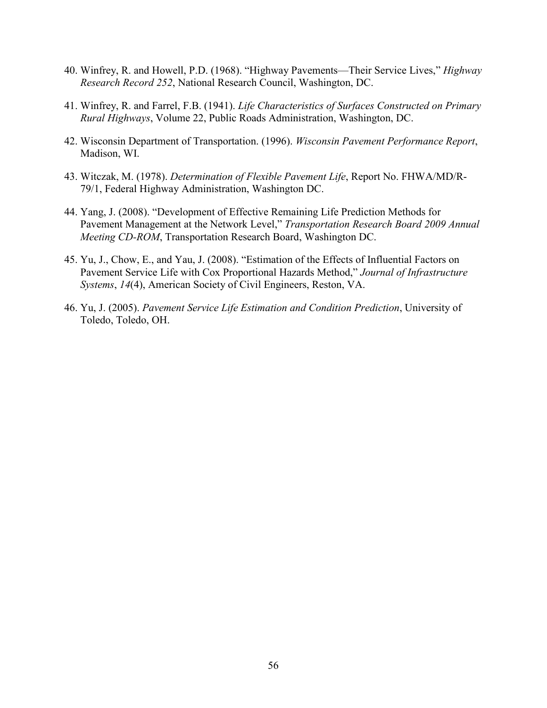- 40. Winfrey, R. and Howell, P.D. (1968). "Highway Pavements—Their Service Lives," *Highway Research Record 252*, National Research Council, Washington, DC.
- 41. Winfrey, R. and Farrel, F.B. (1941). *Life Characteristics of Surfaces Constructed on Primary Rural Highways*, Volume 22, Public Roads Administration, Washington, DC.
- 42. Wisconsin Department of Transportation. (1996). *Wisconsin Pavement Performance Report*, Madison, WI.
- 43. Witczak, M. (1978). *Determination of Flexible Pavement Life*, Report No. FHWA/MD/R-79/1, Federal Highway Administration, Washington DC.
- 44. Yang, J. (2008). "Development of Effective Remaining Life Prediction Methods for Pavement Management at the Network Level," *Transportation Research Board 2009 Annual Meeting CD-ROM*, Transportation Research Board, Washington DC.
- 45. Yu, J., Chow, E., and Yau, J. (2008). "Estimation of the Effects of Influential Factors on Pavement Service Life with Cox Proportional Hazards Method," *Journal of Infrastructure Systems*, *14*(4), American Society of Civil Engineers, Reston, VA.
- 46. Yu, J. (2005). *Pavement Service Life Estimation and Condition Prediction*, University of Toledo, Toledo, OH.